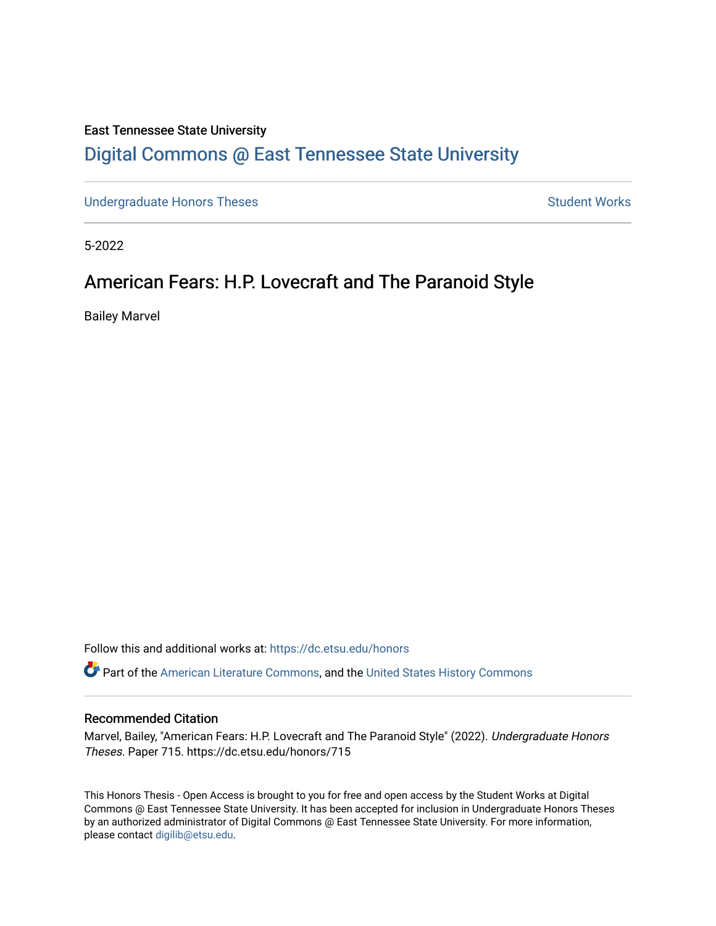# East Tennessee State University [Digital Commons @ East Tennessee State University](https://dc.etsu.edu/)

[Undergraduate Honors Theses](https://dc.etsu.edu/honors) **Student Works** Student Works

5-2022

# American Fears: H.P. Lovecraft and The Paranoid Style

Bailey Marvel

Follow this and additional works at: [https://dc.etsu.edu/honors](https://dc.etsu.edu/honors?utm_source=dc.etsu.edu%2Fhonors%2F715&utm_medium=PDF&utm_campaign=PDFCoverPages)

**C** Part of the [American Literature Commons](http://network.bepress.com/hgg/discipline/441?utm_source=dc.etsu.edu%2Fhonors%2F715&utm_medium=PDF&utm_campaign=PDFCoverPages), and the United States History Commons

#### Recommended Citation

Marvel, Bailey, "American Fears: H.P. Lovecraft and The Paranoid Style" (2022). Undergraduate Honors Theses. Paper 715. https://dc.etsu.edu/honors/715

This Honors Thesis - Open Access is brought to you for free and open access by the Student Works at Digital Commons @ East Tennessee State University. It has been accepted for inclusion in Undergraduate Honors Theses by an authorized administrator of Digital Commons @ East Tennessee State University. For more information, please contact [digilib@etsu.edu.](mailto:digilib@etsu.edu)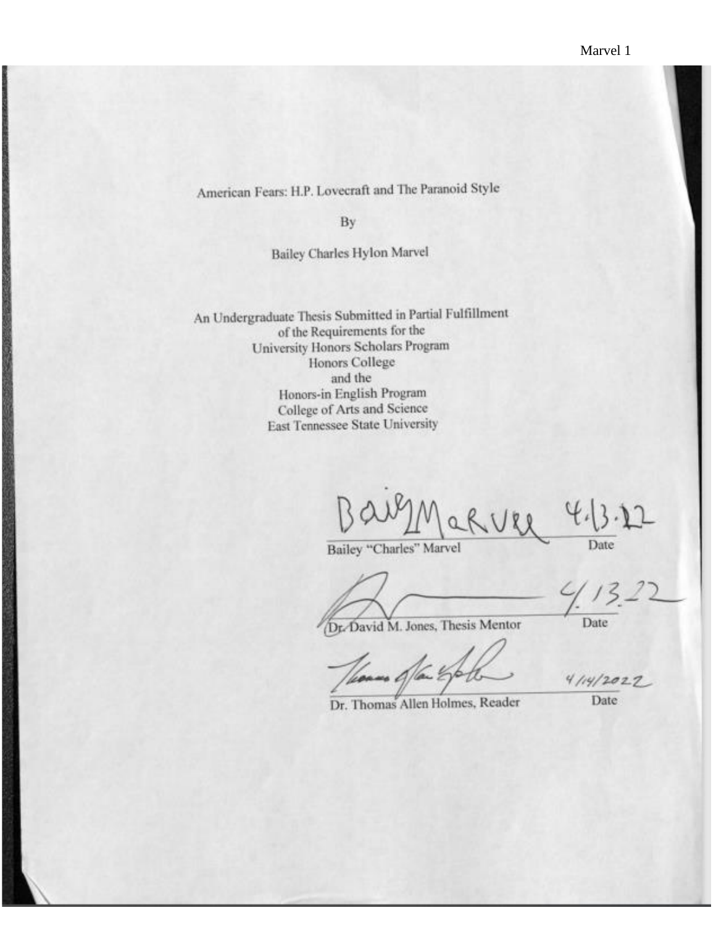American Fears: H.P. Lovecraft and The Paranoid Style

By

Bailey Charles Hylon Marvel

An Undergraduate Thesis Submitted in Partial Fulfillment of the Requirements for the University Honors Scholars Program Honors College and the Honors-in English Program College of Arts and Science East Tennessee State University

 $1189$ Date

Bailey "Charles" Marvel

Dr. David M. Jones, Thesis Mentor

Date

 $4114/2022$ 

Dr. Thomas Allen Holmes, Reader

Date: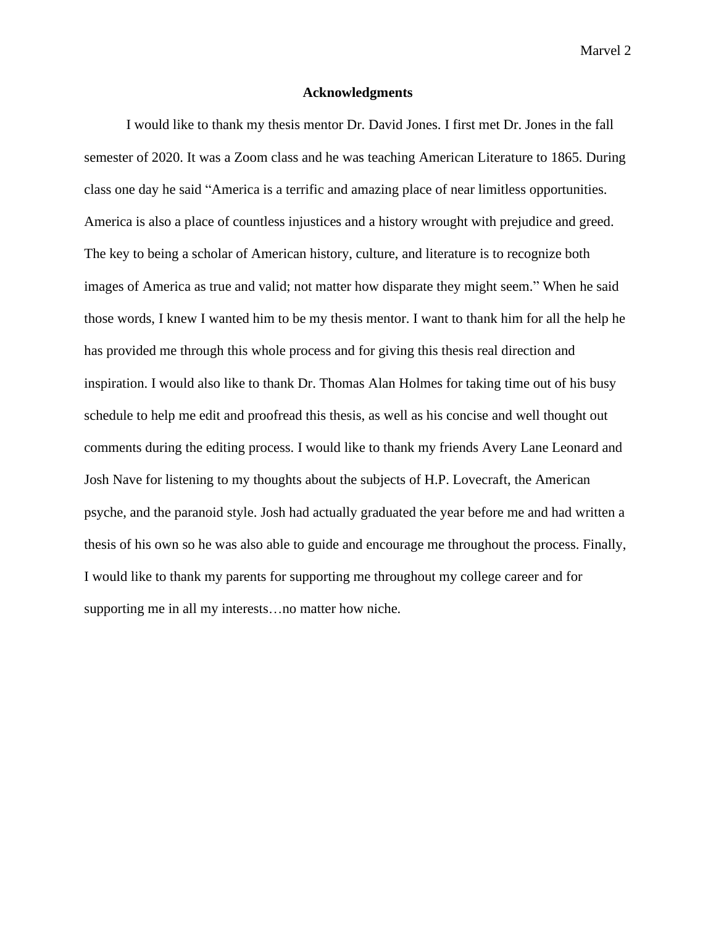## **Acknowledgments**

I would like to thank my thesis mentor Dr. David Jones. I first met Dr. Jones in the fall semester of 2020. It was a Zoom class and he was teaching American Literature to 1865. During class one day he said "America is a terrific and amazing place of near limitless opportunities. America is also a place of countless injustices and a history wrought with prejudice and greed. The key to being a scholar of American history, culture, and literature is to recognize both images of America as true and valid; not matter how disparate they might seem." When he said those words, I knew I wanted him to be my thesis mentor. I want to thank him for all the help he has provided me through this whole process and for giving this thesis real direction and inspiration. I would also like to thank Dr. Thomas Alan Holmes for taking time out of his busy schedule to help me edit and proofread this thesis, as well as his concise and well thought out comments during the editing process. I would like to thank my friends Avery Lane Leonard and Josh Nave for listening to my thoughts about the subjects of H.P. Lovecraft, the American psyche, and the paranoid style. Josh had actually graduated the year before me and had written a thesis of his own so he was also able to guide and encourage me throughout the process. Finally, I would like to thank my parents for supporting me throughout my college career and for supporting me in all my interests…no matter how niche.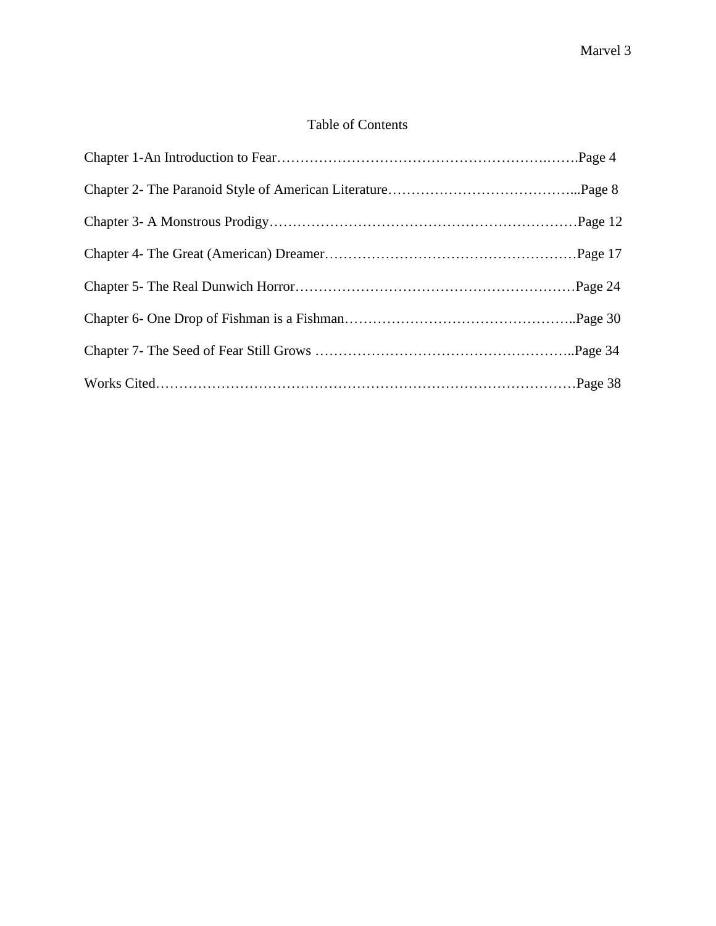# Table of Contents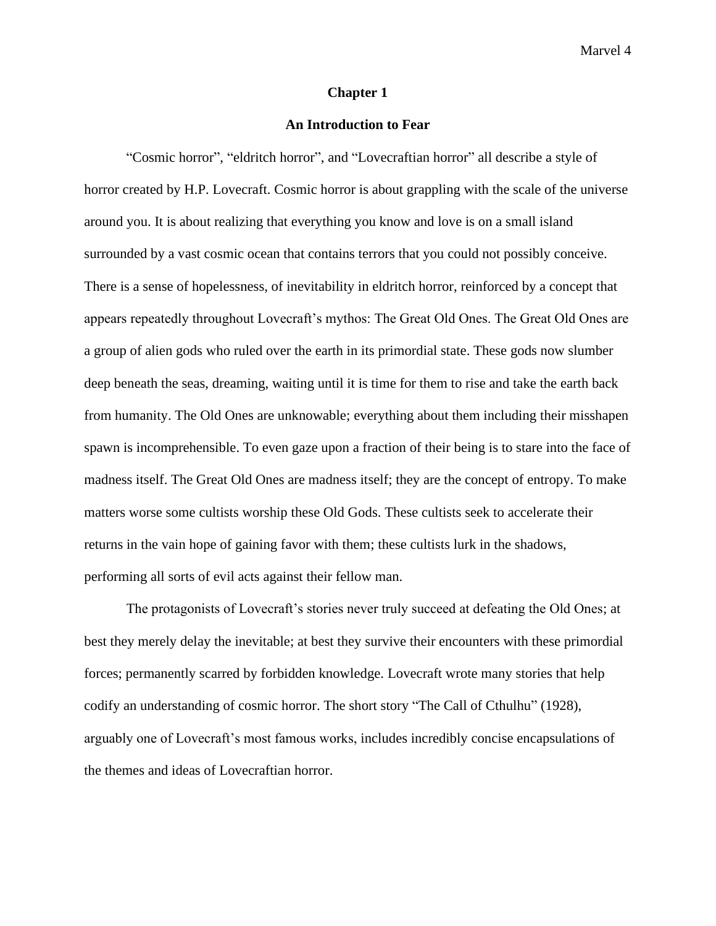#### **Chapter 1**

# **An Introduction to Fear**

"Cosmic horror", "eldritch horror", and "Lovecraftian horror" all describe a style of horror created by H.P. Lovecraft. Cosmic horror is about grappling with the scale of the universe around you. It is about realizing that everything you know and love is on a small island surrounded by a vast cosmic ocean that contains terrors that you could not possibly conceive. There is a sense of hopelessness, of inevitability in eldritch horror, reinforced by a concept that appears repeatedly throughout Lovecraft's mythos: The Great Old Ones. The Great Old Ones are a group of alien gods who ruled over the earth in its primordial state. These gods now slumber deep beneath the seas, dreaming, waiting until it is time for them to rise and take the earth back from humanity. The Old Ones are unknowable; everything about them including their misshapen spawn is incomprehensible. To even gaze upon a fraction of their being is to stare into the face of madness itself. The Great Old Ones are madness itself; they are the concept of entropy. To make matters worse some cultists worship these Old Gods. These cultists seek to accelerate their returns in the vain hope of gaining favor with them; these cultists lurk in the shadows, performing all sorts of evil acts against their fellow man.

The protagonists of Lovecraft's stories never truly succeed at defeating the Old Ones; at best they merely delay the inevitable; at best they survive their encounters with these primordial forces; permanently scarred by forbidden knowledge. Lovecraft wrote many stories that help codify an understanding of cosmic horror. The short story "The Call of Cthulhu" (1928), arguably one of Lovecraft's most famous works, includes incredibly concise encapsulations of the themes and ideas of Lovecraftian horror.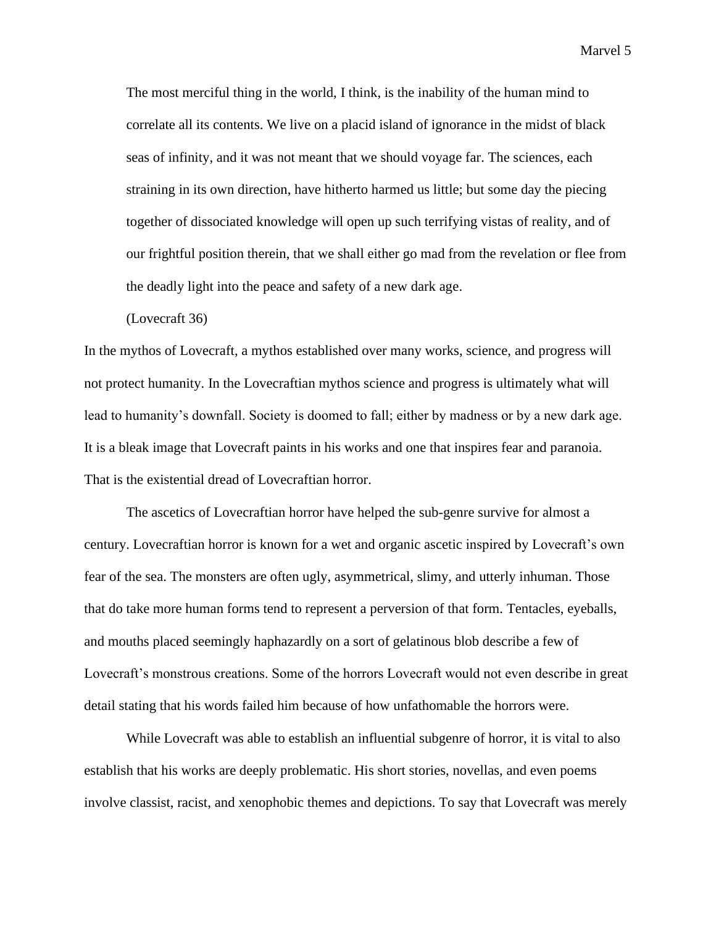The most merciful thing in the world, I think, is the inability of the human mind to correlate all its contents. We live on a placid island of ignorance in the midst of black seas of infinity, and it was not meant that we should voyage far. The sciences, each straining in its own direction, have hitherto harmed us little; but some day the piecing together of dissociated knowledge will open up such terrifying vistas of reality, and of our frightful position therein, that we shall either go mad from the revelation or flee from the deadly light into the peace and safety of a new dark age.

(Lovecraft 36)

In the mythos of Lovecraft, a mythos established over many works, science, and progress will not protect humanity. In the Lovecraftian mythos science and progress is ultimately what will lead to humanity's downfall. Society is doomed to fall; either by madness or by a new dark age. It is a bleak image that Lovecraft paints in his works and one that inspires fear and paranoia. That is the existential dread of Lovecraftian horror.

The ascetics of Lovecraftian horror have helped the sub-genre survive for almost a century. Lovecraftian horror is known for a wet and organic ascetic inspired by Lovecraft's own fear of the sea. The monsters are often ugly, asymmetrical, slimy, and utterly inhuman. Those that do take more human forms tend to represent a perversion of that form. Tentacles, eyeballs, and mouths placed seemingly haphazardly on a sort of gelatinous blob describe a few of Lovecraft's monstrous creations. Some of the horrors Lovecraft would not even describe in great detail stating that his words failed him because of how unfathomable the horrors were.

While Lovecraft was able to establish an influential subgenre of horror, it is vital to also establish that his works are deeply problematic. His short stories, novellas, and even poems involve classist, racist, and xenophobic themes and depictions. To say that Lovecraft was merely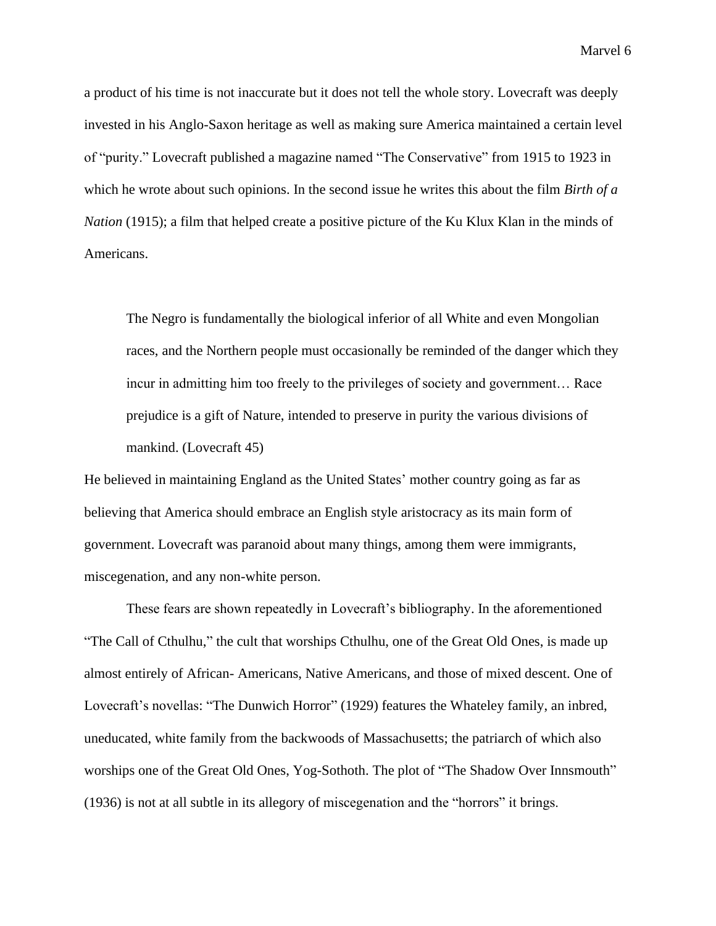a product of his time is not inaccurate but it does not tell the whole story. Lovecraft was deeply invested in his Anglo-Saxon heritage as well as making sure America maintained a certain level of "purity." Lovecraft published a magazine named "The Conservative" from 1915 to 1923 in which he wrote about such opinions. In the second issue he writes this about the film *Birth of a Nation* (1915); a film that helped create a positive picture of the Ku Klux Klan in the minds of Americans.

The Negro is fundamentally the biological inferior of all White and even Mongolian races, and the Northern people must occasionally be reminded of the danger which they incur in admitting him too freely to the privileges of society and government… Race prejudice is a gift of Nature, intended to preserve in purity the various divisions of mankind. (Lovecraft 45)

He believed in maintaining England as the United States' mother country going as far as believing that America should embrace an English style aristocracy as its main form of government. Lovecraft was paranoid about many things, among them were immigrants, miscegenation, and any non-white person.

These fears are shown repeatedly in Lovecraft's bibliography. In the aforementioned "The Call of Cthulhu," the cult that worships Cthulhu, one of the Great Old Ones, is made up almost entirely of African- Americans, Native Americans, and those of mixed descent. One of Lovecraft's novellas: "The Dunwich Horror" (1929) features the Whateley family, an inbred, uneducated, white family from the backwoods of Massachusetts; the patriarch of which also worships one of the Great Old Ones, Yog-Sothoth. The plot of "The Shadow Over Innsmouth" (1936) is not at all subtle in its allegory of miscegenation and the "horrors" it brings.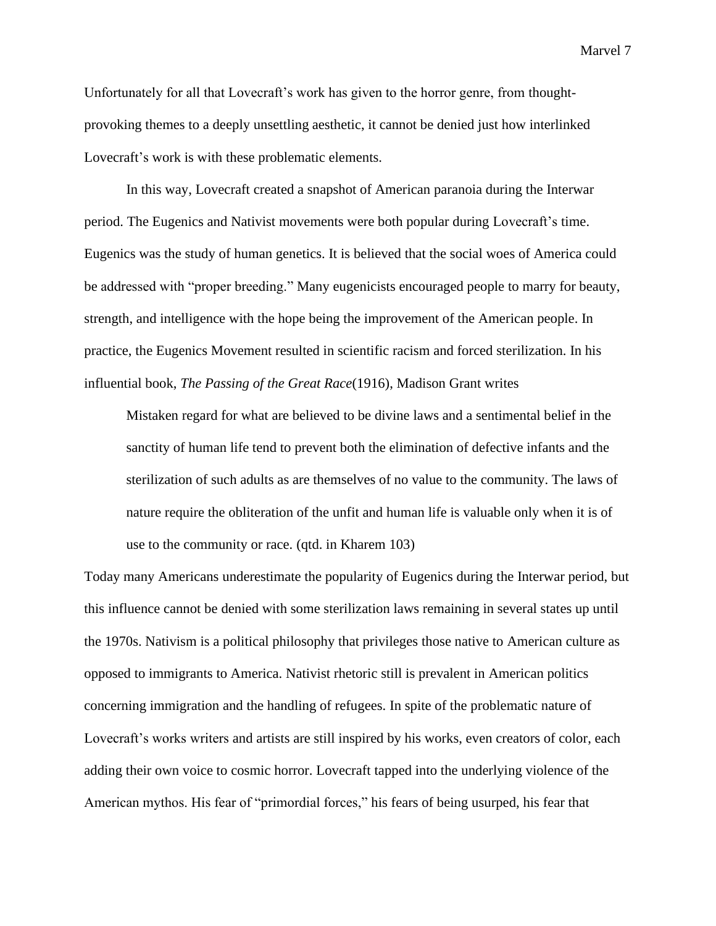Unfortunately for all that Lovecraft's work has given to the horror genre, from thoughtprovoking themes to a deeply unsettling aesthetic, it cannot be denied just how interlinked Lovecraft's work is with these problematic elements.

In this way, Lovecraft created a snapshot of American paranoia during the Interwar period. The Eugenics and Nativist movements were both popular during Lovecraft's time. Eugenics was the study of human genetics. It is believed that the social woes of America could be addressed with "proper breeding." Many eugenicists encouraged people to marry for beauty, strength, and intelligence with the hope being the improvement of the American people. In practice, the Eugenics Movement resulted in scientific racism and forced sterilization. In his influential book, *The Passing of the Great Race*(1916), Madison Grant writes

Mistaken regard for what are believed to be divine laws and a sentimental belief in the sanctity of human life tend to prevent both the elimination of defective infants and the sterilization of such adults as are themselves of no value to the community. The laws of nature require the obliteration of the unfit and human life is valuable only when it is of use to the community or race. (qtd. in Kharem 103)

Today many Americans underestimate the popularity of Eugenics during the Interwar period, but this influence cannot be denied with some sterilization laws remaining in several states up until the 1970s. Nativism is a political philosophy that privileges those native to American culture as opposed to immigrants to America. Nativist rhetoric still is prevalent in American politics concerning immigration and the handling of refugees. In spite of the problematic nature of Lovecraft's works writers and artists are still inspired by his works, even creators of color, each adding their own voice to cosmic horror. Lovecraft tapped into the underlying violence of the American mythos. His fear of "primordial forces," his fears of being usurped, his fear that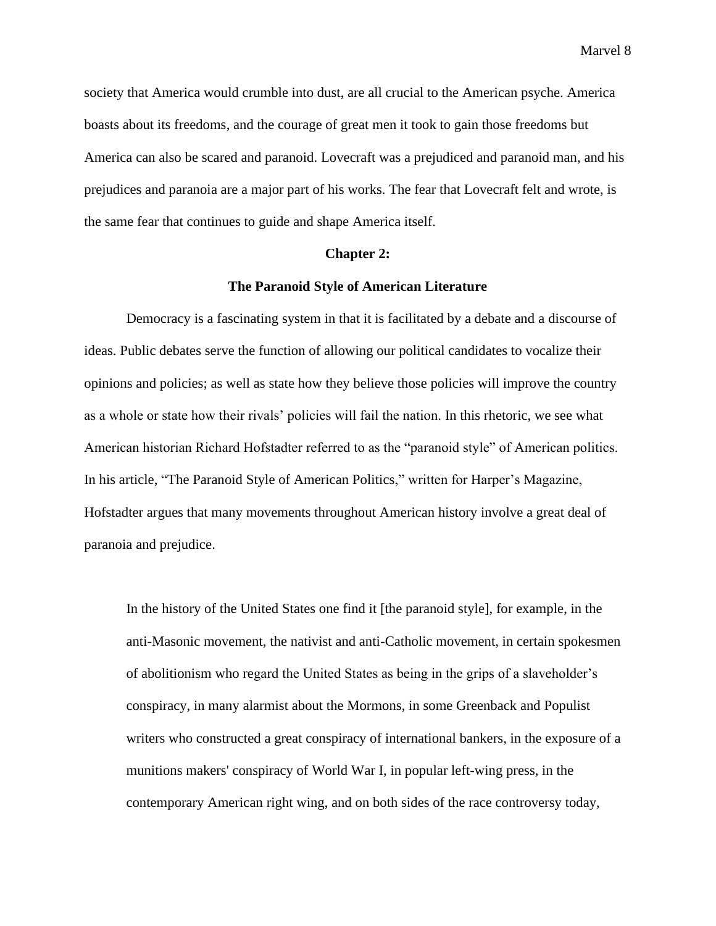society that America would crumble into dust, are all crucial to the American psyche. America boasts about its freedoms, and the courage of great men it took to gain those freedoms but America can also be scared and paranoid. Lovecraft was a prejudiced and paranoid man, and his prejudices and paranoia are a major part of his works. The fear that Lovecraft felt and wrote, is the same fear that continues to guide and shape America itself.

## **Chapter 2:**

# **The Paranoid Style of American Literature**

Democracy is a fascinating system in that it is facilitated by a debate and a discourse of ideas. Public debates serve the function of allowing our political candidates to vocalize their opinions and policies; as well as state how they believe those policies will improve the country as a whole or state how their rivals' policies will fail the nation. In this rhetoric, we see what American historian Richard Hofstadter referred to as the "paranoid style" of American politics. In his article, "The Paranoid Style of American Politics," written for Harper's Magazine, Hofstadter argues that many movements throughout American history involve a great deal of paranoia and prejudice.

In the history of the United States one find it [the paranoid style], for example, in the anti-Masonic movement, the nativist and anti-Catholic movement, in certain spokesmen of abolitionism who regard the United States as being in the grips of a slaveholder's conspiracy, in many alarmist about the Mormons, in some Greenback and Populist writers who constructed a great conspiracy of international bankers, in the exposure of a munitions makers' conspiracy of World War I, in popular left-wing press, in the contemporary American right wing, and on both sides of the race controversy today,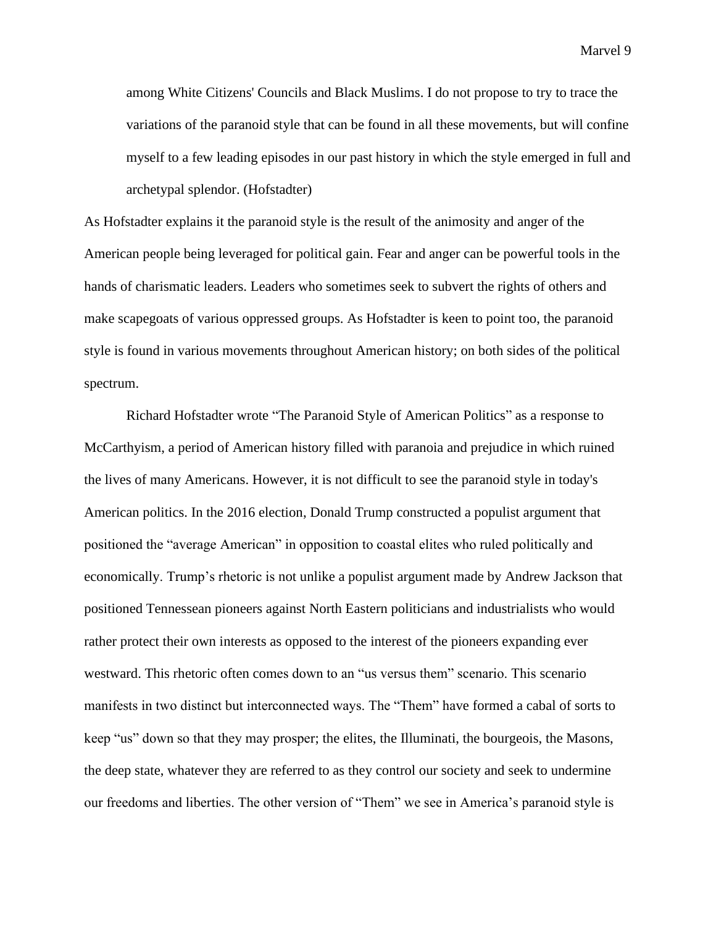among White Citizens' Councils and Black Muslims. I do not propose to try to trace the variations of the paranoid style that can be found in all these movements, but will confine myself to a few leading episodes in our past history in which the style emerged in full and archetypal splendor. (Hofstadter)

As Hofstadter explains it the paranoid style is the result of the animosity and anger of the American people being leveraged for political gain. Fear and anger can be powerful tools in the hands of charismatic leaders. Leaders who sometimes seek to subvert the rights of others and make scapegoats of various oppressed groups. As Hofstadter is keen to point too, the paranoid style is found in various movements throughout American history; on both sides of the political spectrum.

Richard Hofstadter wrote "The Paranoid Style of American Politics" as a response to McCarthyism, a period of American history filled with paranoia and prejudice in which ruined the lives of many Americans. However, it is not difficult to see the paranoid style in today's American politics. In the 2016 election, Donald Trump constructed a populist argument that positioned the "average American" in opposition to coastal elites who ruled politically and economically. Trump's rhetoric is not unlike a populist argument made by Andrew Jackson that positioned Tennessean pioneers against North Eastern politicians and industrialists who would rather protect their own interests as opposed to the interest of the pioneers expanding ever westward. This rhetoric often comes down to an "us versus them" scenario. This scenario manifests in two distinct but interconnected ways. The "Them" have formed a cabal of sorts to keep "us" down so that they may prosper; the elites, the Illuminati, the bourgeois, the Masons, the deep state, whatever they are referred to as they control our society and seek to undermine our freedoms and liberties. The other version of "Them" we see in America's paranoid style is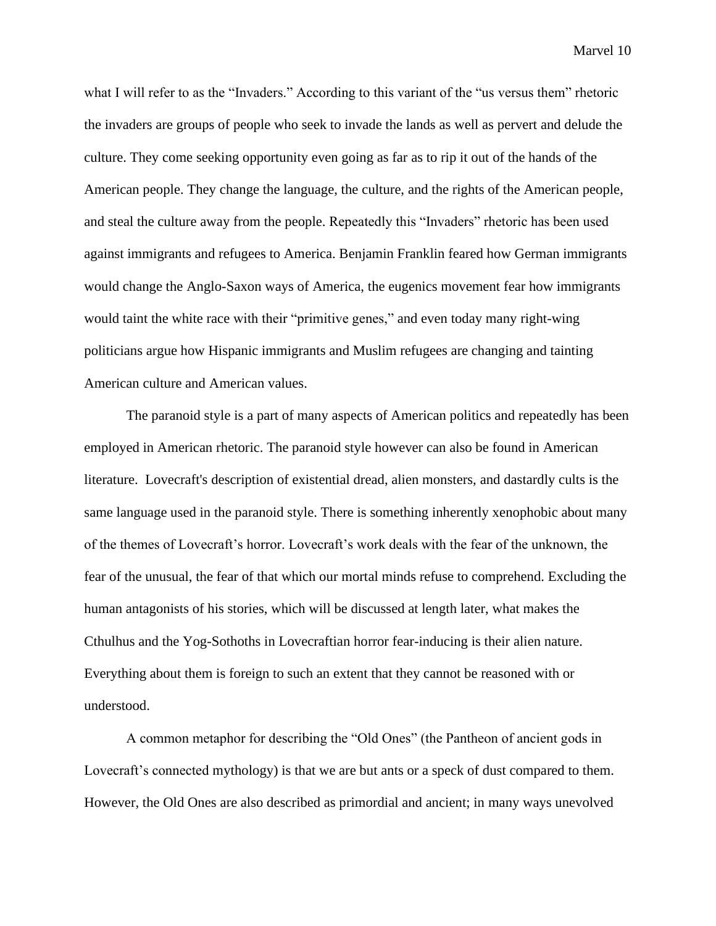what I will refer to as the "Invaders." According to this variant of the "us versus them" rhetoric the invaders are groups of people who seek to invade the lands as well as pervert and delude the culture. They come seeking opportunity even going as far as to rip it out of the hands of the American people. They change the language, the culture, and the rights of the American people, and steal the culture away from the people. Repeatedly this "Invaders" rhetoric has been used against immigrants and refugees to America. Benjamin Franklin feared how German immigrants would change the Anglo-Saxon ways of America, the eugenics movement fear how immigrants would taint the white race with their "primitive genes," and even today many right-wing politicians argue how Hispanic immigrants and Muslim refugees are changing and tainting American culture and American values.

The paranoid style is a part of many aspects of American politics and repeatedly has been employed in American rhetoric. The paranoid style however can also be found in American literature. Lovecraft's description of existential dread, alien monsters, and dastardly cults is the same language used in the paranoid style. There is something inherently xenophobic about many of the themes of Lovecraft's horror. Lovecraft's work deals with the fear of the unknown, the fear of the unusual, the fear of that which our mortal minds refuse to comprehend. Excluding the human antagonists of his stories, which will be discussed at length later, what makes the Cthulhus and the Yog-Sothoths in Lovecraftian horror fear-inducing is their alien nature. Everything about them is foreign to such an extent that they cannot be reasoned with or understood.

A common metaphor for describing the "Old Ones" (the Pantheon of ancient gods in Lovecraft's connected mythology) is that we are but ants or a speck of dust compared to them. However, the Old Ones are also described as primordial and ancient; in many ways unevolved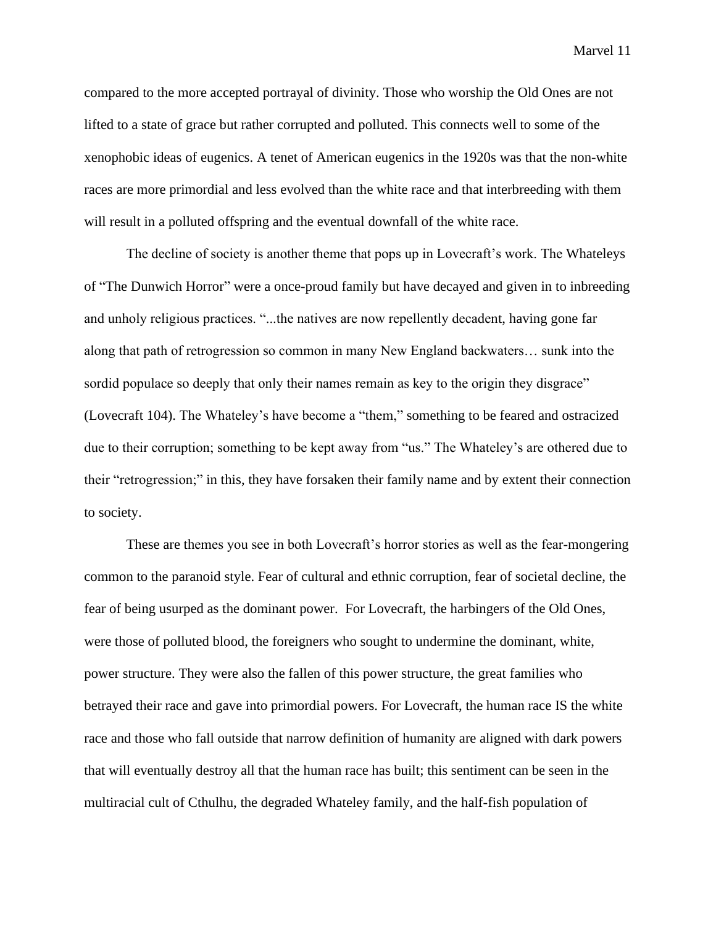compared to the more accepted portrayal of divinity. Those who worship the Old Ones are not lifted to a state of grace but rather corrupted and polluted. This connects well to some of the xenophobic ideas of eugenics. A tenet of American eugenics in the 1920s was that the non-white races are more primordial and less evolved than the white race and that interbreeding with them will result in a polluted offspring and the eventual downfall of the white race.

The decline of society is another theme that pops up in Lovecraft's work. The Whateleys of "The Dunwich Horror" were a once-proud family but have decayed and given in to inbreeding and unholy religious practices. "...the natives are now repellently decadent, having gone far along that path of retrogression so common in many New England backwaters… sunk into the sordid populace so deeply that only their names remain as key to the origin they disgrace" (Lovecraft 104). The Whateley's have become a "them," something to be feared and ostracized due to their corruption; something to be kept away from "us." The Whateley's are othered due to their "retrogression;" in this, they have forsaken their family name and by extent their connection to society.

These are themes you see in both Lovecraft's horror stories as well as the fear-mongering common to the paranoid style. Fear of cultural and ethnic corruption, fear of societal decline, the fear of being usurped as the dominant power. For Lovecraft, the harbingers of the Old Ones, were those of polluted blood, the foreigners who sought to undermine the dominant, white, power structure. They were also the fallen of this power structure, the great families who betrayed their race and gave into primordial powers. For Lovecraft, the human race IS the white race and those who fall outside that narrow definition of humanity are aligned with dark powers that will eventually destroy all that the human race has built; this sentiment can be seen in the multiracial cult of Cthulhu, the degraded Whateley family, and the half-fish population of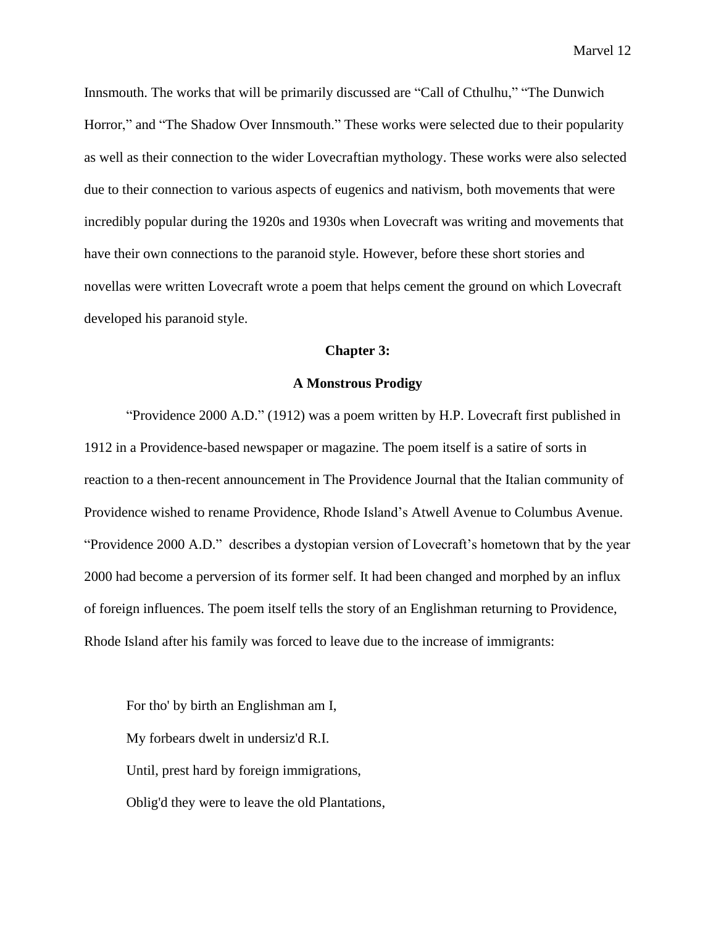Innsmouth. The works that will be primarily discussed are "Call of Cthulhu," "The Dunwich Horror," and "The Shadow Over Innsmouth." These works were selected due to their popularity as well as their connection to the wider Lovecraftian mythology. These works were also selected due to their connection to various aspects of eugenics and nativism, both movements that were incredibly popular during the 1920s and 1930s when Lovecraft was writing and movements that have their own connections to the paranoid style. However, before these short stories and novellas were written Lovecraft wrote a poem that helps cement the ground on which Lovecraft developed his paranoid style.

# **Chapter 3:**

# **A Monstrous Prodigy**

"Providence 2000 A.D." (1912) was a poem written by H.P. Lovecraft first published in 1912 in a Providence-based newspaper or magazine. The poem itself is a satire of sorts in reaction to a then-recent announcement in The Providence Journal that the Italian community of Providence wished to rename Providence, Rhode Island's Atwell Avenue to Columbus Avenue. "Providence 2000 A.D."describes a dystopian version of Lovecraft's hometown that by the year 2000 had become a perversion of its former self. It had been changed and morphed by an influx of foreign influences. The poem itself tells the story of an Englishman returning to Providence, Rhode Island after his family was forced to leave due to the increase of immigrants:

For tho' by birth an Englishman am I, My forbears dwelt in undersiz'd R.I. Until, prest hard by foreign immigrations, Oblig'd they were to leave the old Plantations,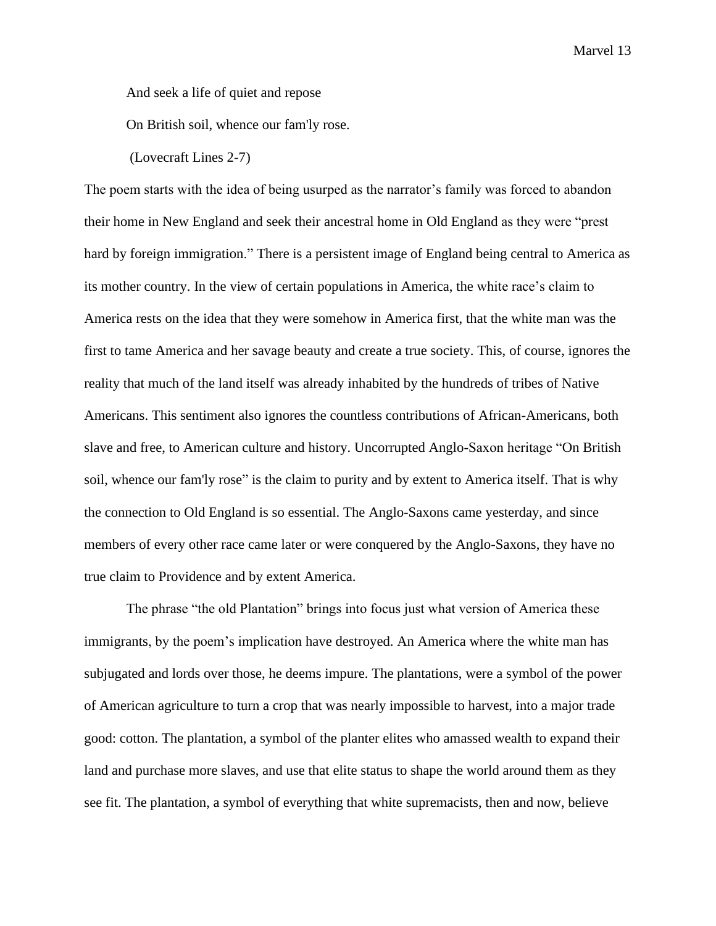And seek a life of quiet and repose

On British soil, whence our fam'ly rose.

(Lovecraft Lines 2-7)

The poem starts with the idea of being usurped as the narrator's family was forced to abandon their home in New England and seek their ancestral home in Old England as they were "prest hard by foreign immigration." There is a persistent image of England being central to America as its mother country. In the view of certain populations in America, the white race's claim to America rests on the idea that they were somehow in America first, that the white man was the first to tame America and her savage beauty and create a true society. This, of course, ignores the reality that much of the land itself was already inhabited by the hundreds of tribes of Native Americans. This sentiment also ignores the countless contributions of African-Americans, both slave and free, to American culture and history. Uncorrupted Anglo-Saxon heritage "On British soil, whence our fam'ly rose" is the claim to purity and by extent to America itself. That is why the connection to Old England is so essential. The Anglo-Saxons came yesterday, and since members of every other race came later or were conquered by the Anglo-Saxons, they have no true claim to Providence and by extent America.

The phrase "the old Plantation" brings into focus just what version of America these immigrants, by the poem's implication have destroyed. An America where the white man has subjugated and lords over those, he deems impure. The plantations, were a symbol of the power of American agriculture to turn a crop that was nearly impossible to harvest, into a major trade good: cotton. The plantation, a symbol of the planter elites who amassed wealth to expand their land and purchase more slaves, and use that elite status to shape the world around them as they see fit. The plantation, a symbol of everything that white supremacists, then and now, believe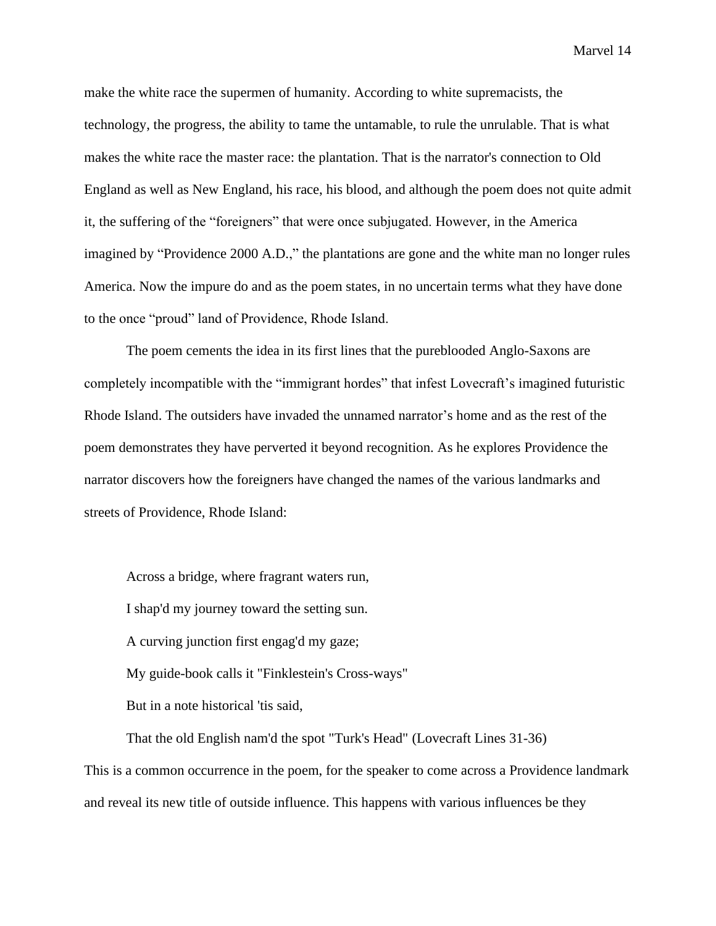make the white race the supermen of humanity. According to white supremacists, the technology, the progress, the ability to tame the untamable, to rule the unrulable. That is what makes the white race the master race: the plantation. That is the narrator's connection to Old England as well as New England, his race, his blood, and although the poem does not quite admit it, the suffering of the "foreigners" that were once subjugated. However, in the America imagined by "Providence 2000 A.D.," the plantations are gone and the white man no longer rules America. Now the impure do and as the poem states, in no uncertain terms what they have done to the once "proud" land of Providence, Rhode Island.

The poem cements the idea in its first lines that the pureblooded Anglo-Saxons are completely incompatible with the "immigrant hordes" that infest Lovecraft's imagined futuristic Rhode Island. The outsiders have invaded the unnamed narrator's home and as the rest of the poem demonstrates they have perverted it beyond recognition. As he explores Providence the narrator discovers how the foreigners have changed the names of the various landmarks and streets of Providence, Rhode Island:

Across a bridge, where fragrant waters run, I shap'd my journey toward the setting sun. A curving junction first engag'd my gaze; My guide-book calls it "Finklestein's Cross-ways" But in a note historical 'tis said,

That the old English nam'd the spot "Turk's Head" (Lovecraft Lines 31-36) This is a common occurrence in the poem, for the speaker to come across a Providence landmark and reveal its new title of outside influence. This happens with various influences be they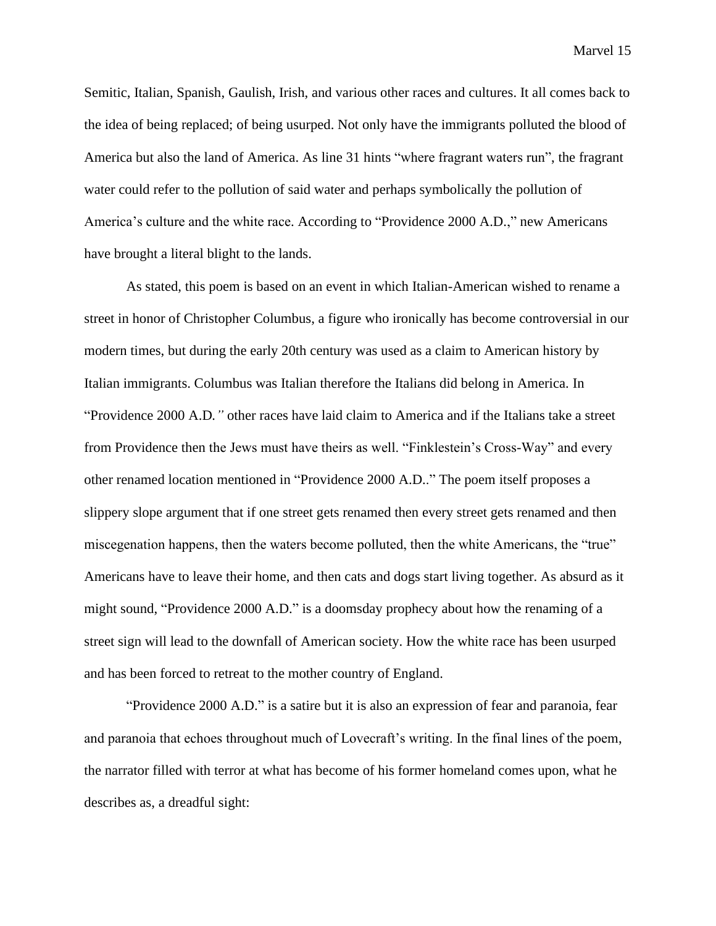Semitic, Italian, Spanish, Gaulish, Irish, and various other races and cultures. It all comes back to the idea of being replaced; of being usurped. Not only have the immigrants polluted the blood of America but also the land of America. As line 31 hints "where fragrant waters run", the fragrant water could refer to the pollution of said water and perhaps symbolically the pollution of America's culture and the white race. According to "Providence 2000 A.D.," new Americans have brought a literal blight to the lands.

As stated, this poem is based on an event in which Italian-American wished to rename a street in honor of Christopher Columbus, a figure who ironically has become controversial in our modern times, but during the early 20th century was used as a claim to American history by Italian immigrants. Columbus was Italian therefore the Italians did belong in America. In "Providence 2000 A.D*."* other races have laid claim to America and if the Italians take a street from Providence then the Jews must have theirs as well. "Finklestein's Cross-Way" and every other renamed location mentioned in "Providence 2000 A.D.." The poem itself proposes a slippery slope argument that if one street gets renamed then every street gets renamed and then miscegenation happens, then the waters become polluted, then the white Americans, the "true" Americans have to leave their home, and then cats and dogs start living together. As absurd as it might sound, "Providence 2000 A.D." is a doomsday prophecy about how the renaming of a street sign will lead to the downfall of American society. How the white race has been usurped and has been forced to retreat to the mother country of England.

"Providence 2000 A.D." is a satire but it is also an expression of fear and paranoia, fear and paranoia that echoes throughout much of Lovecraft's writing. In the final lines of the poem, the narrator filled with terror at what has become of his former homeland comes upon, what he describes as, a dreadful sight: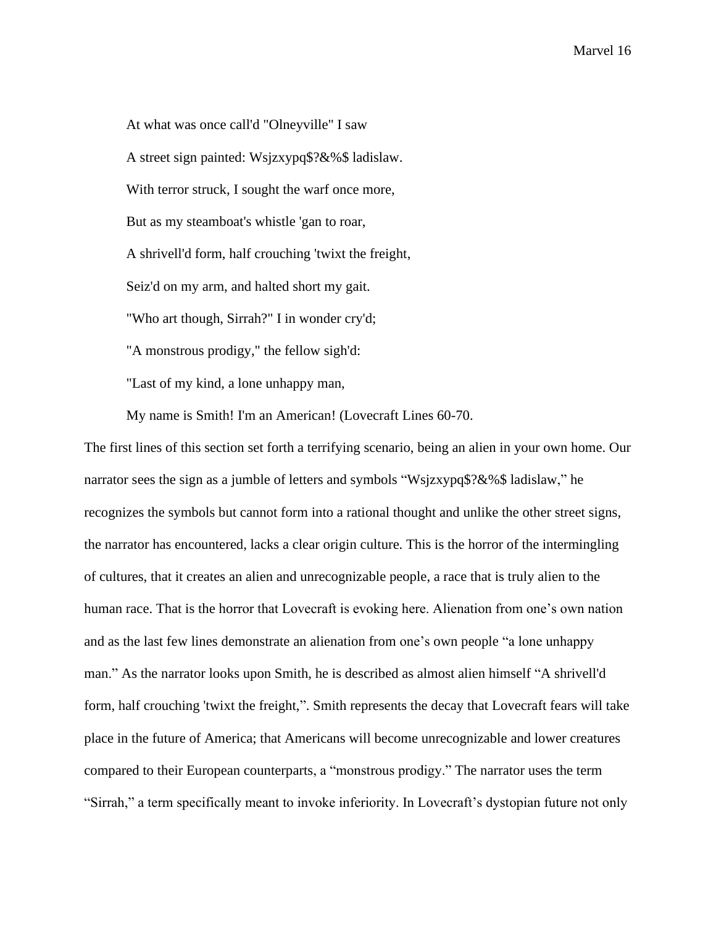At what was once call'd "Olneyville" I saw A street sign painted: Wsjzxypq\$?&%\$ ladislaw. With terror struck, I sought the warf once more, But as my steamboat's whistle 'gan to roar, A shrivell'd form, half crouching 'twixt the freight, Seiz'd on my arm, and halted short my gait. "Who art though, Sirrah?" I in wonder cry'd; "A monstrous prodigy," the fellow sigh'd: "Last of my kind, a lone unhappy man,

My name is Smith! I'm an American! (Lovecraft Lines 60-70.

The first lines of this section set forth a terrifying scenario, being an alien in your own home. Our narrator sees the sign as a jumble of letters and symbols "Wsjzxypq\$?&%\$ ladislaw," he recognizes the symbols but cannot form into a rational thought and unlike the other street signs, the narrator has encountered, lacks a clear origin culture. This is the horror of the intermingling of cultures, that it creates an alien and unrecognizable people, a race that is truly alien to the human race. That is the horror that Lovecraft is evoking here. Alienation from one's own nation and as the last few lines demonstrate an alienation from one's own people "a lone unhappy man." As the narrator looks upon Smith, he is described as almost alien himself "A shrivell'd form, half crouching 'twixt the freight,". Smith represents the decay that Lovecraft fears will take place in the future of America; that Americans will become unrecognizable and lower creatures compared to their European counterparts, a "monstrous prodigy." The narrator uses the term "Sirrah," a term specifically meant to invoke inferiority. In Lovecraft's dystopian future not only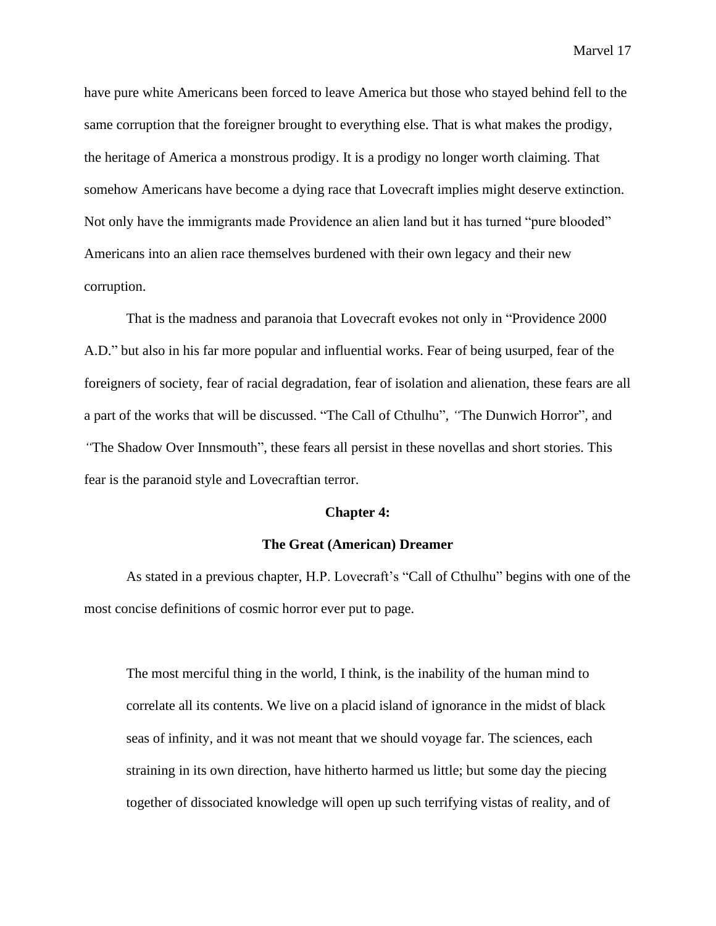have pure white Americans been forced to leave America but those who stayed behind fell to the same corruption that the foreigner brought to everything else. That is what makes the prodigy, the heritage of America a monstrous prodigy. It is a prodigy no longer worth claiming. That somehow Americans have become a dying race that Lovecraft implies might deserve extinction. Not only have the immigrants made Providence an alien land but it has turned "pure blooded" Americans into an alien race themselves burdened with their own legacy and their new corruption.

That is the madness and paranoia that Lovecraft evokes not only in "Providence 2000 A.D." but also in his far more popular and influential works. Fear of being usurped, fear of the foreigners of society, fear of racial degradation, fear of isolation and alienation, these fears are all a part of the works that will be discussed. "The Call of Cthulhu"*, "*The Dunwich Horror"*,* and *"*The Shadow Over Innsmouth", these fears all persist in these novellas and short stories. This fear is the paranoid style and Lovecraftian terror.

#### **Chapter 4:**

## **The Great (American) Dreamer**

As stated in a previous chapter, H.P. Lovecraft's "Call of Cthulhu" begins with one of the most concise definitions of cosmic horror ever put to page.

The most merciful thing in the world, I think, is the inability of the human mind to correlate all its contents. We live on a placid island of ignorance in the midst of black seas of infinity, and it was not meant that we should voyage far. The sciences, each straining in its own direction, have hitherto harmed us little; but some day the piecing together of dissociated knowledge will open up such terrifying vistas of reality, and of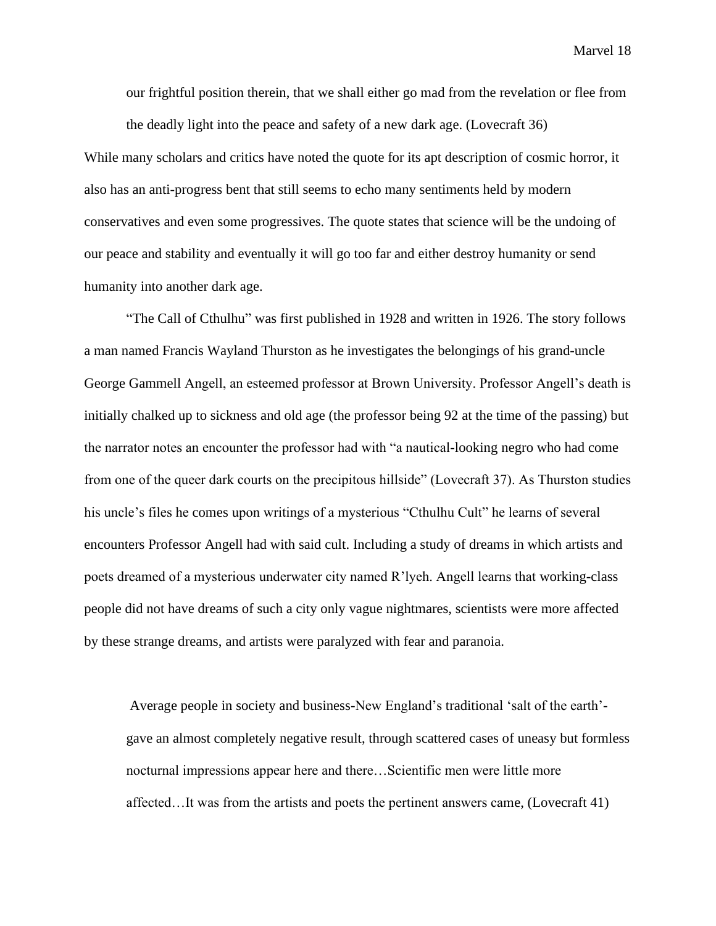our frightful position therein, that we shall either go mad from the revelation or flee from the deadly light into the peace and safety of a new dark age. (Lovecraft 36)

While many scholars and critics have noted the quote for its apt description of cosmic horror, it also has an anti-progress bent that still seems to echo many sentiments held by modern conservatives and even some progressives. The quote states that science will be the undoing of our peace and stability and eventually it will go too far and either destroy humanity or send humanity into another dark age.

"The Call of Cthulhu" was first published in 1928 and written in 1926. The story follows a man named Francis Wayland Thurston as he investigates the belongings of his grand-uncle George Gammell Angell, an esteemed professor at Brown University. Professor Angell's death is initially chalked up to sickness and old age (the professor being 92 at the time of the passing) but the narrator notes an encounter the professor had with "a nautical-looking negro who had come from one of the queer dark courts on the precipitous hillside" (Lovecraft 37). As Thurston studies his uncle's files he comes upon writings of a mysterious "Cthulhu Cult" he learns of several encounters Professor Angell had with said cult. Including a study of dreams in which artists and poets dreamed of a mysterious underwater city named R'lyeh. Angell learns that working-class people did not have dreams of such a city only vague nightmares, scientists were more affected by these strange dreams, and artists were paralyzed with fear and paranoia.

Average people in society and business-New England's traditional 'salt of the earth' gave an almost completely negative result, through scattered cases of uneasy but formless nocturnal impressions appear here and there…Scientific men were little more affected…It was from the artists and poets the pertinent answers came, (Lovecraft 41)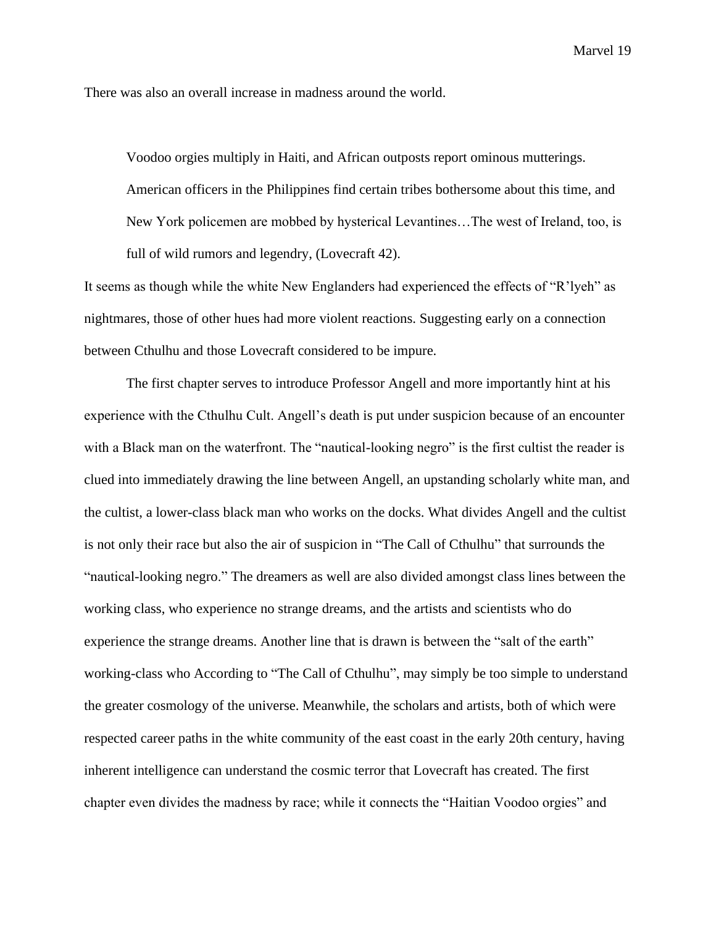There was also an overall increase in madness around the world.

Voodoo orgies multiply in Haiti, and African outposts report ominous mutterings. American officers in the Philippines find certain tribes bothersome about this time, and New York policemen are mobbed by hysterical Levantines…The west of Ireland, too, is full of wild rumors and legendry, (Lovecraft 42).

It seems as though while the white New Englanders had experienced the effects of "R'lyeh" as nightmares, those of other hues had more violent reactions. Suggesting early on a connection between Cthulhu and those Lovecraft considered to be impure.

The first chapter serves to introduce Professor Angell and more importantly hint at his experience with the Cthulhu Cult. Angell's death is put under suspicion because of an encounter with a Black man on the waterfront. The "nautical-looking negro" is the first cultist the reader is clued into immediately drawing the line between Angell, an upstanding scholarly white man, and the cultist, a lower-class black man who works on the docks. What divides Angell and the cultist is not only their race but also the air of suspicion in "The Call of Cthulhu" that surrounds the "nautical-looking negro." The dreamers as well are also divided amongst class lines between the working class, who experience no strange dreams, and the artists and scientists who do experience the strange dreams. Another line that is drawn is between the "salt of the earth" working-class who According to "The Call of Cthulhu", may simply be too simple to understand the greater cosmology of the universe. Meanwhile, the scholars and artists, both of which were respected career paths in the white community of the east coast in the early 20th century, having inherent intelligence can understand the cosmic terror that Lovecraft has created. The first chapter even divides the madness by race; while it connects the "Haitian Voodoo orgies" and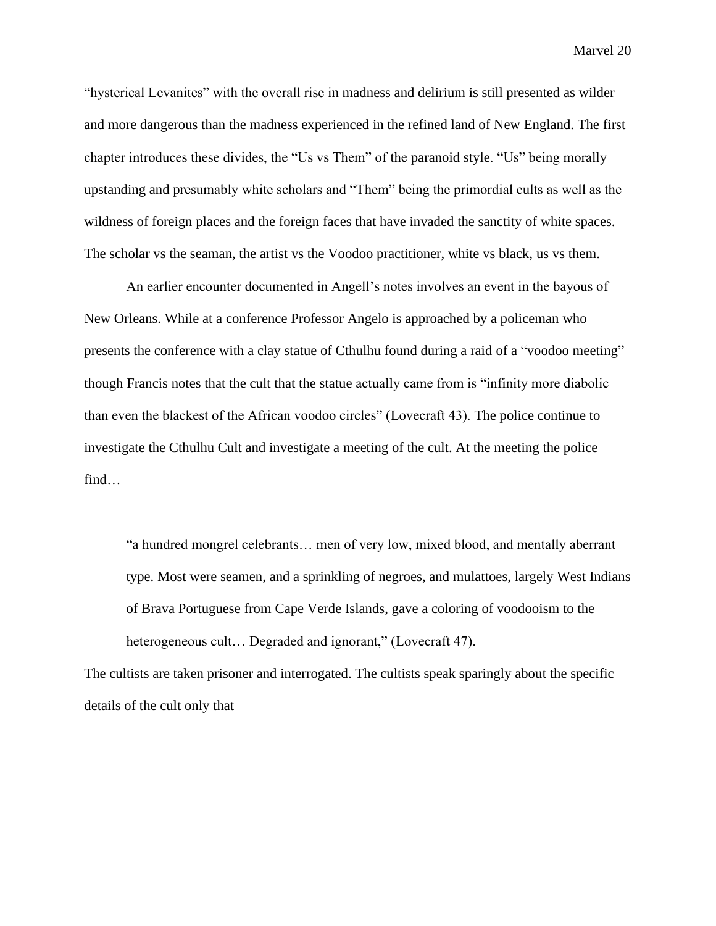"hysterical Levanites" with the overall rise in madness and delirium is still presented as wilder and more dangerous than the madness experienced in the refined land of New England. The first chapter introduces these divides, the "Us vs Them" of the paranoid style. "Us" being morally upstanding and presumably white scholars and "Them" being the primordial cults as well as the wildness of foreign places and the foreign faces that have invaded the sanctity of white spaces. The scholar vs the seaman, the artist vs the Voodoo practitioner, white vs black, us vs them.

An earlier encounter documented in Angell's notes involves an event in the bayous of New Orleans. While at a conference Professor Angelo is approached by a policeman who presents the conference with a clay statue of Cthulhu found during a raid of a "voodoo meeting" though Francis notes that the cult that the statue actually came from is "infinity more diabolic than even the blackest of the African voodoo circles" (Lovecraft 43). The police continue to investigate the Cthulhu Cult and investigate a meeting of the cult. At the meeting the police find…

"a hundred mongrel celebrants… men of very low, mixed blood, and mentally aberrant type. Most were seamen, and a sprinkling of negroes, and mulattoes, largely West Indians of Brava Portuguese from Cape Verde Islands, gave a coloring of voodooism to the heterogeneous cult... Degraded and ignorant," (Lovecraft 47).

The cultists are taken prisoner and interrogated. The cultists speak sparingly about the specific details of the cult only that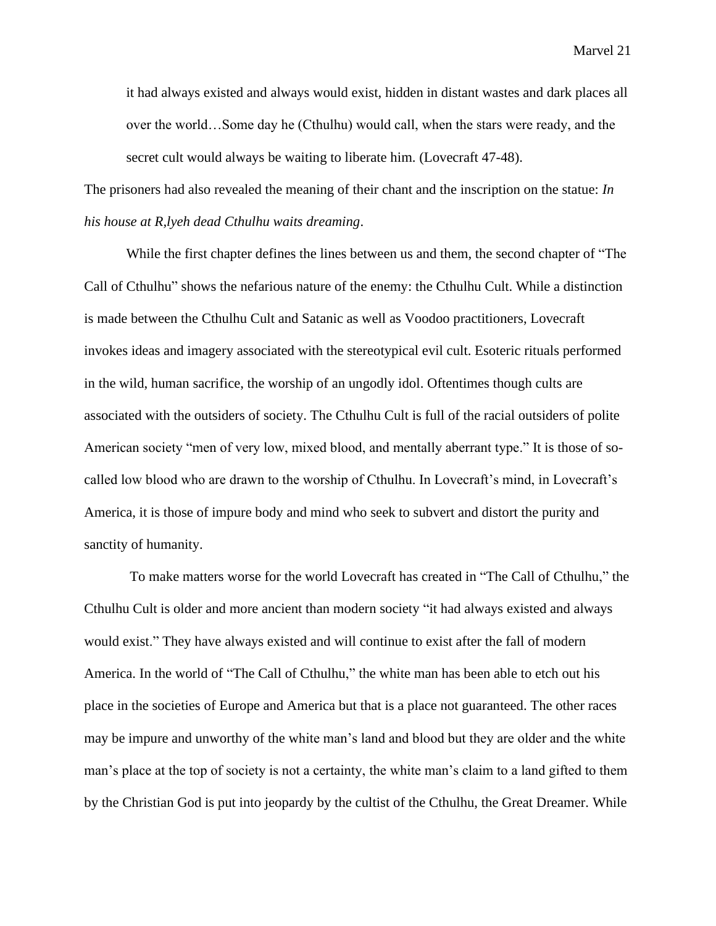it had always existed and always would exist, hidden in distant wastes and dark places all over the world…Some day he (Cthulhu) would call, when the stars were ready, and the secret cult would always be waiting to liberate him. (Lovecraft 47-48).

The prisoners had also revealed the meaning of their chant and the inscription on the statue: *In his house at R,lyeh dead Cthulhu waits dreaming*.

While the first chapter defines the lines between us and them, the second chapter of "The Call of Cthulhu" shows the nefarious nature of the enemy: the Cthulhu Cult. While a distinction is made between the Cthulhu Cult and Satanic as well as Voodoo practitioners, Lovecraft invokes ideas and imagery associated with the stereotypical evil cult. Esoteric rituals performed in the wild, human sacrifice, the worship of an ungodly idol. Oftentimes though cults are associated with the outsiders of society. The Cthulhu Cult is full of the racial outsiders of polite American society "men of very low, mixed blood, and mentally aberrant type." It is those of socalled low blood who are drawn to the worship of Cthulhu. In Lovecraft's mind, in Lovecraft's America, it is those of impure body and mind who seek to subvert and distort the purity and sanctity of humanity.

To make matters worse for the world Lovecraft has created in "The Call of Cthulhu," the Cthulhu Cult is older and more ancient than modern society "it had always existed and always would exist." They have always existed and will continue to exist after the fall of modern America. In the world of "The Call of Cthulhu," the white man has been able to etch out his place in the societies of Europe and America but that is a place not guaranteed. The other races may be impure and unworthy of the white man's land and blood but they are older and the white man's place at the top of society is not a certainty, the white man's claim to a land gifted to them by the Christian God is put into jeopardy by the cultist of the Cthulhu, the Great Dreamer. While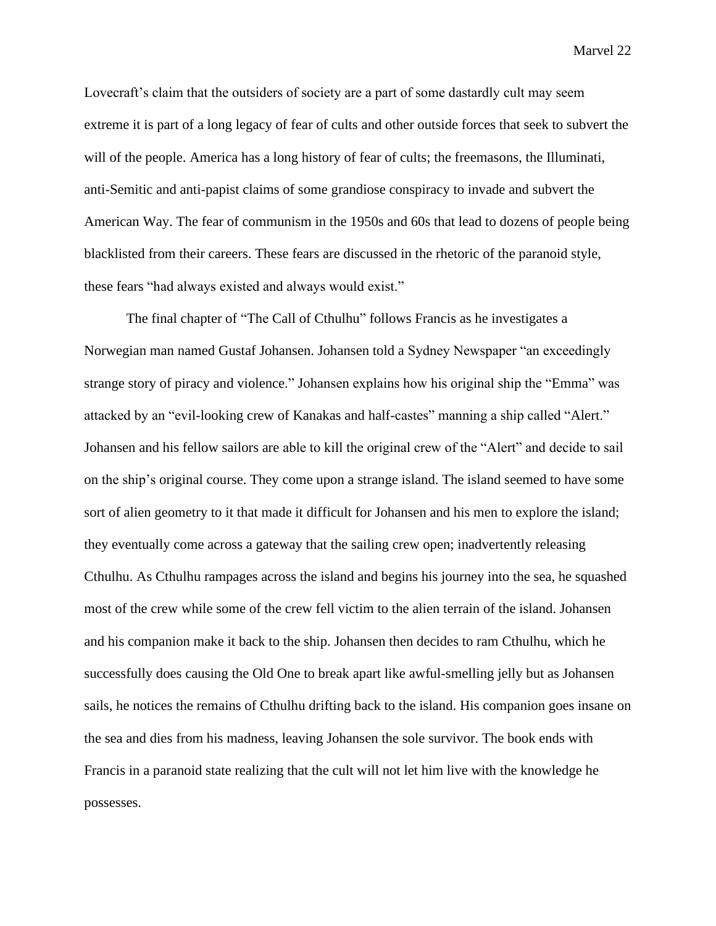Lovecraft's claim that the outsiders of society are a part of some dastardly cult may seem extreme it is part of a long legacy of fear of cults and other outside forces that seek to subvert the will of the people. America has a long history of fear of cults; the freemasons, the Illuminati, anti-Semitic and anti-papist claims of some grandiose conspiracy to invade and subvert the American Way. The fear of communism in the 1950s and 60s that lead to dozens of people being blacklisted from their careers. These fears are discussed in the rhetoric of the paranoid style, these fears "had always existed and always would exist."

The final chapter of "The Call of Cthulhu" follows Francis as he investigates a Norwegian man named Gustaf Johansen. Johansen told a Sydney Newspaper "an exceedingly strange story of piracy and violence." Johansen explains how his original ship the "Emma" was attacked by an "evil-looking crew of Kanakas and half-castes" manning a ship called "Alert." Johansen and his fellow sailors are able to kill the original crew of the "Alert" and decide to sail on the ship's original course. They come upon a strange island. The island seemed to have some sort of alien geometry to it that made it difficult for Johansen and his men to explore the island; they eventually come across a gateway that the sailing crew open; inadvertently releasing Cthulhu. As Cthulhu rampages across the island and begins his journey into the sea, he squashed most of the crew while some of the crew fell victim to the alien terrain of the island. Johansen and his companion make it back to the ship. Johansen then decides to ram Cthulhu, which he successfully does causing the Old One to break apart like awful-smelling jelly but as Johansen sails, he notices the remains of Cthulhu drifting back to the island. His companion goes insane on the sea and dies from his madness, leaving Johansen the sole survivor. The book ends with Francis in a paranoid state realizing that the cult will not let him live with the knowledge he possesses.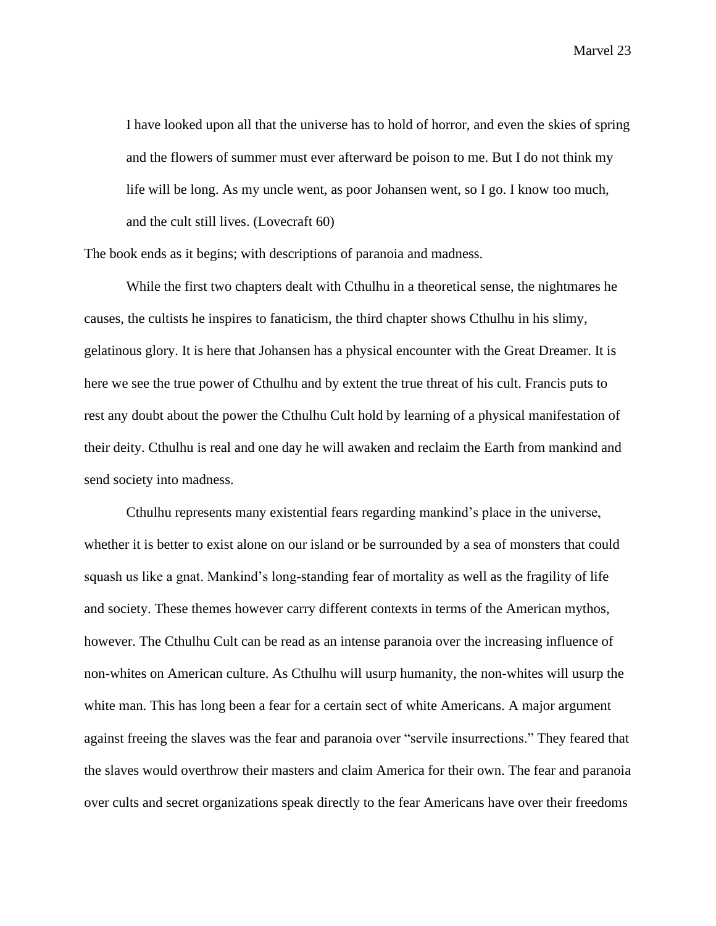I have looked upon all that the universe has to hold of horror, and even the skies of spring and the flowers of summer must ever afterward be poison to me. But I do not think my life will be long. As my uncle went, as poor Johansen went, so I go. I know too much, and the cult still lives. (Lovecraft 60)

The book ends as it begins; with descriptions of paranoia and madness.

While the first two chapters dealt with Cthulhu in a theoretical sense, the nightmares he causes, the cultists he inspires to fanaticism, the third chapter shows Cthulhu in his slimy, gelatinous glory. It is here that Johansen has a physical encounter with the Great Dreamer. It is here we see the true power of Cthulhu and by extent the true threat of his cult. Francis puts to rest any doubt about the power the Cthulhu Cult hold by learning of a physical manifestation of their deity. Cthulhu is real and one day he will awaken and reclaim the Earth from mankind and send society into madness.

Cthulhu represents many existential fears regarding mankind's place in the universe, whether it is better to exist alone on our island or be surrounded by a sea of monsters that could squash us like a gnat. Mankind's long-standing fear of mortality as well as the fragility of life and society. These themes however carry different contexts in terms of the American mythos, however. The Cthulhu Cult can be read as an intense paranoia over the increasing influence of non-whites on American culture. As Cthulhu will usurp humanity, the non-whites will usurp the white man. This has long been a fear for a certain sect of white Americans. A major argument against freeing the slaves was the fear and paranoia over "servile insurrections." They feared that the slaves would overthrow their masters and claim America for their own. The fear and paranoia over cults and secret organizations speak directly to the fear Americans have over their freedoms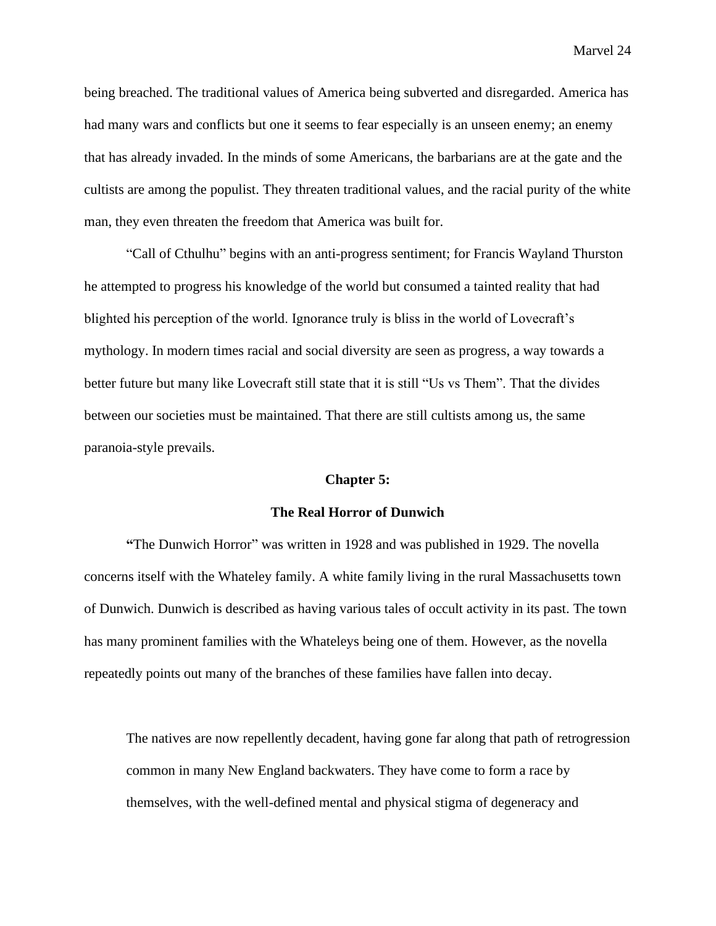being breached. The traditional values of America being subverted and disregarded. America has had many wars and conflicts but one it seems to fear especially is an unseen enemy; an enemy that has already invaded. In the minds of some Americans, the barbarians are at the gate and the cultists are among the populist. They threaten traditional values, and the racial purity of the white man, they even threaten the freedom that America was built for.

"Call of Cthulhu" begins with an anti-progress sentiment; for Francis Wayland Thurston he attempted to progress his knowledge of the world but consumed a tainted reality that had blighted his perception of the world. Ignorance truly is bliss in the world of Lovecraft's mythology. In modern times racial and social diversity are seen as progress, a way towards a better future but many like Lovecraft still state that it is still "Us vs Them". That the divides between our societies must be maintained. That there are still cultists among us, the same paranoia-style prevails.

#### **Chapter 5:**

### **The Real Horror of Dunwich**

**"**The Dunwich Horror" was written in 1928 and was published in 1929. The novella concerns itself with the Whateley family. A white family living in the rural Massachusetts town of Dunwich. Dunwich is described as having various tales of occult activity in its past. The town has many prominent families with the Whateleys being one of them. However, as the novella repeatedly points out many of the branches of these families have fallen into decay.

The natives are now repellently decadent, having gone far along that path of retrogression common in many New England backwaters. They have come to form a race by themselves, with the well-defined mental and physical stigma of degeneracy and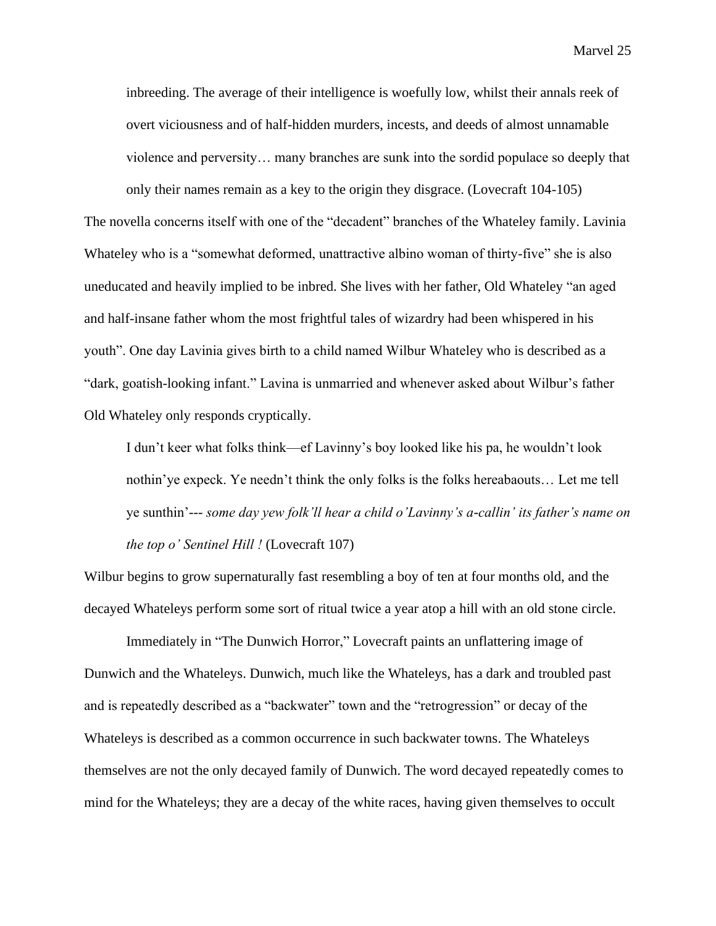inbreeding. The average of their intelligence is woefully low, whilst their annals reek of overt viciousness and of half-hidden murders, incests, and deeds of almost unnamable violence and perversity… many branches are sunk into the sordid populace so deeply that only their names remain as a key to the origin they disgrace. (Lovecraft 104-105)

The novella concerns itself with one of the "decadent" branches of the Whateley family. Lavinia Whateley who is a "somewhat deformed, unattractive albino woman of thirty-five" she is also uneducated and heavily implied to be inbred. She lives with her father, Old Whateley "an aged and half-insane father whom the most frightful tales of wizardry had been whispered in his youth". One day Lavinia gives birth to a child named Wilbur Whateley who is described as a "dark, goatish-looking infant." Lavina is unmarried and whenever asked about Wilbur's father Old Whateley only responds cryptically.

I dun't keer what folks think—ef Lavinny's boy looked like his pa, he wouldn't look nothin'ye expeck. Ye needn't think the only folks is the folks hereabaouts… Let me tell ye sunthin'--- *some day yew folk'll hear a child o'Lavinny's a-callin' its father's name on the top o' Sentinel Hill !* (Lovecraft 107)

Wilbur begins to grow supernaturally fast resembling a boy of ten at four months old, and the decayed Whateleys perform some sort of ritual twice a year atop a hill with an old stone circle.

Immediately in "The Dunwich Horror," Lovecraft paints an unflattering image of Dunwich and the Whateleys. Dunwich, much like the Whateleys, has a dark and troubled past and is repeatedly described as a "backwater" town and the "retrogression" or decay of the Whateleys is described as a common occurrence in such backwater towns. The Whateleys themselves are not the only decayed family of Dunwich. The word decayed repeatedly comes to mind for the Whateleys; they are a decay of the white races, having given themselves to occult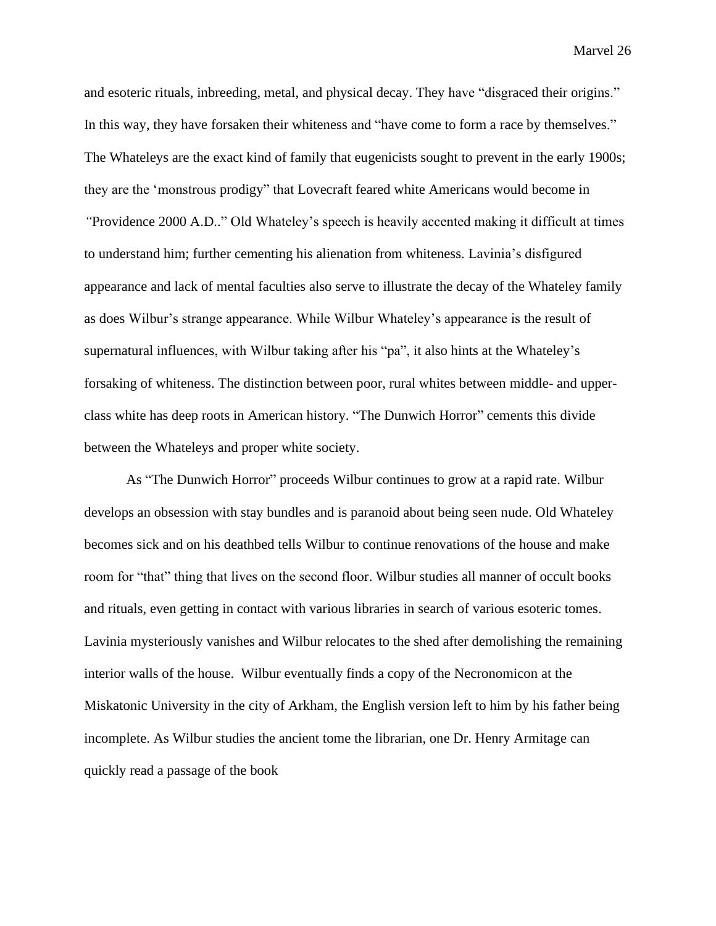and esoteric rituals, inbreeding, metal, and physical decay. They have "disgraced their origins." In this way, they have forsaken their whiteness and "have come to form a race by themselves." The Whateleys are the exact kind of family that eugenicists sought to prevent in the early 1900s; they are the 'monstrous prodigy" that Lovecraft feared white Americans would become in *"*Providence 2000 A.D.." Old Whateley's speech is heavily accented making it difficult at times to understand him; further cementing his alienation from whiteness. Lavinia's disfigured appearance and lack of mental faculties also serve to illustrate the decay of the Whateley family as does Wilbur's strange appearance. While Wilbur Whateley's appearance is the result of supernatural influences, with Wilbur taking after his "pa", it also hints at the Whateley's forsaking of whiteness. The distinction between poor, rural whites between middle- and upperclass white has deep roots in American history. "The Dunwich Horror" cements this divide between the Whateleys and proper white society.

As "The Dunwich Horror" proceeds Wilbur continues to grow at a rapid rate. Wilbur develops an obsession with stay bundles and is paranoid about being seen nude. Old Whateley becomes sick and on his deathbed tells Wilbur to continue renovations of the house and make room for "that" thing that lives on the second floor. Wilbur studies all manner of occult books and rituals, even getting in contact with various libraries in search of various esoteric tomes. Lavinia mysteriously vanishes and Wilbur relocates to the shed after demolishing the remaining interior walls of the house. Wilbur eventually finds a copy of the Necronomicon at the Miskatonic University in the city of Arkham, the English version left to him by his father being incomplete. As Wilbur studies the ancient tome the librarian, one Dr. Henry Armitage can quickly read a passage of the book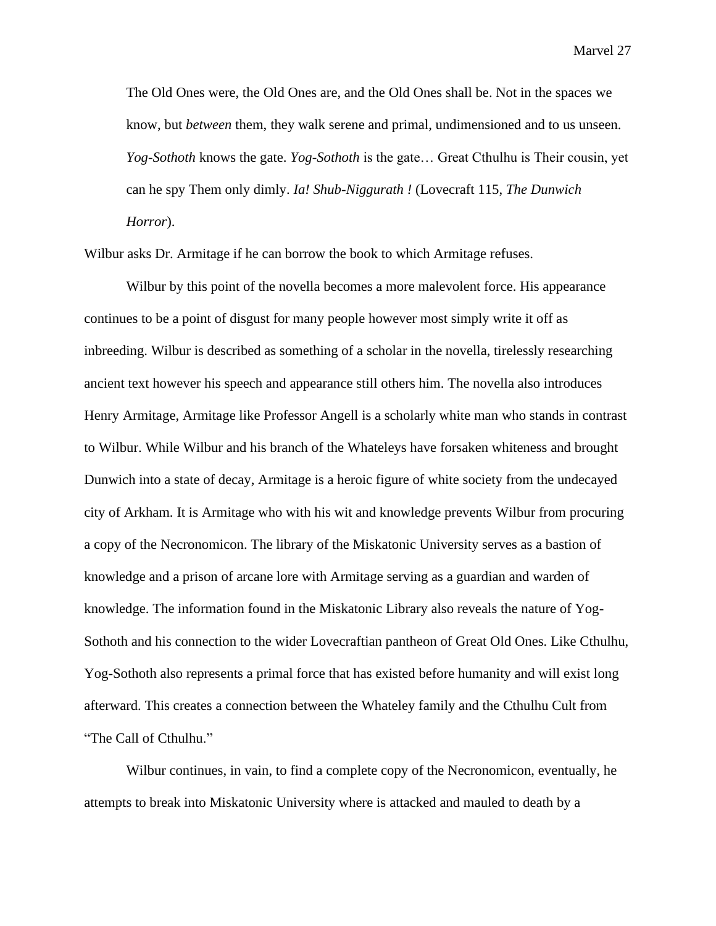The Old Ones were, the Old Ones are, and the Old Ones shall be. Not in the spaces we know, but *between* them, they walk serene and primal, undimensioned and to us unseen. *Yog-Sothoth* knows the gate. *Yog-Sothoth* is the gate… Great Cthulhu is Their cousin, yet can he spy Them only dimly. *Ia! Shub-Niggurath !* (Lovecraft 115, *The Dunwich Horror*).

Wilbur asks Dr. Armitage if he can borrow the book to which Armitage refuses.

Wilbur by this point of the novella becomes a more malevolent force. His appearance continues to be a point of disgust for many people however most simply write it off as inbreeding. Wilbur is described as something of a scholar in the novella, tirelessly researching ancient text however his speech and appearance still others him. The novella also introduces Henry Armitage, Armitage like Professor Angell is a scholarly white man who stands in contrast to Wilbur. While Wilbur and his branch of the Whateleys have forsaken whiteness and brought Dunwich into a state of decay, Armitage is a heroic figure of white society from the undecayed city of Arkham. It is Armitage who with his wit and knowledge prevents Wilbur from procuring a copy of the Necronomicon. The library of the Miskatonic University serves as a bastion of knowledge and a prison of arcane lore with Armitage serving as a guardian and warden of knowledge. The information found in the Miskatonic Library also reveals the nature of Yog-Sothoth and his connection to the wider Lovecraftian pantheon of Great Old Ones. Like Cthulhu, Yog-Sothoth also represents a primal force that has existed before humanity and will exist long afterward. This creates a connection between the Whateley family and the Cthulhu Cult from "The Call of Cthulhu."

Wilbur continues, in vain, to find a complete copy of the Necronomicon, eventually, he attempts to break into Miskatonic University where is attacked and mauled to death by a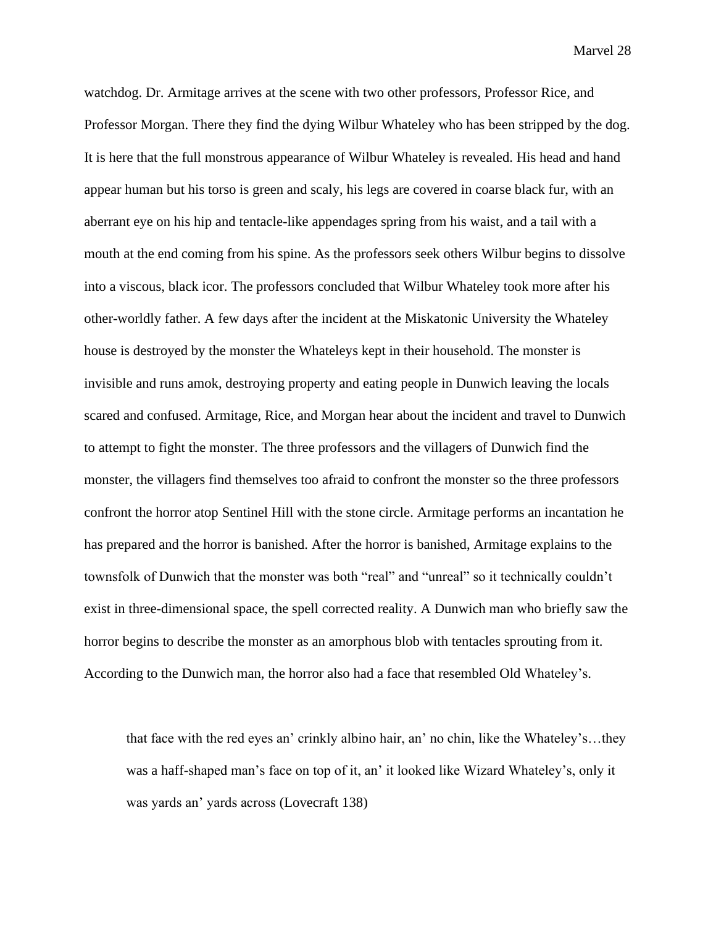watchdog. Dr. Armitage arrives at the scene with two other professors, Professor Rice, and Professor Morgan. There they find the dying Wilbur Whateley who has been stripped by the dog. It is here that the full monstrous appearance of Wilbur Whateley is revealed. His head and hand appear human but his torso is green and scaly, his legs are covered in coarse black fur, with an aberrant eye on his hip and tentacle-like appendages spring from his waist, and a tail with a mouth at the end coming from his spine. As the professors seek others Wilbur begins to dissolve into a viscous, black icor. The professors concluded that Wilbur Whateley took more after his other-worldly father. A few days after the incident at the Miskatonic University the Whateley house is destroyed by the monster the Whateleys kept in their household. The monster is invisible and runs amok, destroying property and eating people in Dunwich leaving the locals scared and confused. Armitage, Rice, and Morgan hear about the incident and travel to Dunwich to attempt to fight the monster. The three professors and the villagers of Dunwich find the monster, the villagers find themselves too afraid to confront the monster so the three professors confront the horror atop Sentinel Hill with the stone circle. Armitage performs an incantation he has prepared and the horror is banished. After the horror is banished, Armitage explains to the townsfolk of Dunwich that the monster was both "real" and "unreal" so it technically couldn't exist in three-dimensional space, the spell corrected reality. A Dunwich man who briefly saw the horror begins to describe the monster as an amorphous blob with tentacles sprouting from it. According to the Dunwich man, the horror also had a face that resembled Old Whateley's.

that face with the red eyes an' crinkly albino hair, an' no chin, like the Whateley's…they was a haff-shaped man's face on top of it, an' it looked like Wizard Whateley's, only it was yards an' yards across (Lovecraft 138)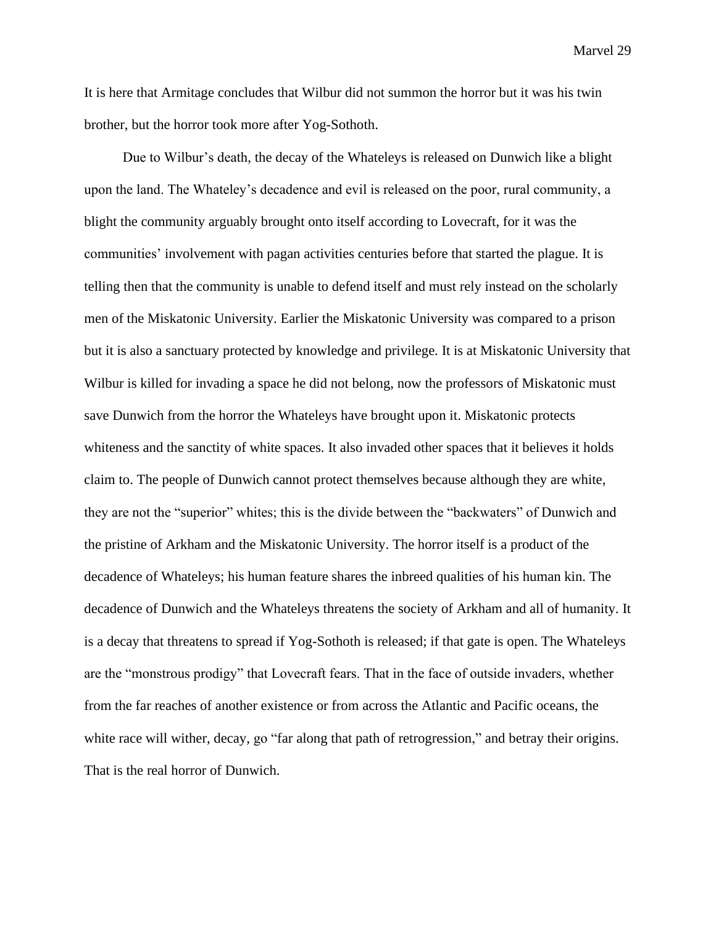It is here that Armitage concludes that Wilbur did not summon the horror but it was his twin brother, but the horror took more after Yog-Sothoth.

 Due to Wilbur's death, the decay of the Whateleys is released on Dunwich like a blight upon the land. The Whateley's decadence and evil is released on the poor, rural community, a blight the community arguably brought onto itself according to Lovecraft, for it was the communities' involvement with pagan activities centuries before that started the plague. It is telling then that the community is unable to defend itself and must rely instead on the scholarly men of the Miskatonic University. Earlier the Miskatonic University was compared to a prison but it is also a sanctuary protected by knowledge and privilege. It is at Miskatonic University that Wilbur is killed for invading a space he did not belong, now the professors of Miskatonic must save Dunwich from the horror the Whateleys have brought upon it. Miskatonic protects whiteness and the sanctity of white spaces. It also invaded other spaces that it believes it holds claim to. The people of Dunwich cannot protect themselves because although they are white, they are not the "superior" whites; this is the divide between the "backwaters" of Dunwich and the pristine of Arkham and the Miskatonic University. The horror itself is a product of the decadence of Whateleys; his human feature shares the inbreed qualities of his human kin. The decadence of Dunwich and the Whateleys threatens the society of Arkham and all of humanity. It is a decay that threatens to spread if Yog-Sothoth is released; if that gate is open. The Whateleys are the "monstrous prodigy" that Lovecraft fears. That in the face of outside invaders, whether from the far reaches of another existence or from across the Atlantic and Pacific oceans, the white race will wither, decay, go "far along that path of retrogression," and betray their origins. That is the real horror of Dunwich.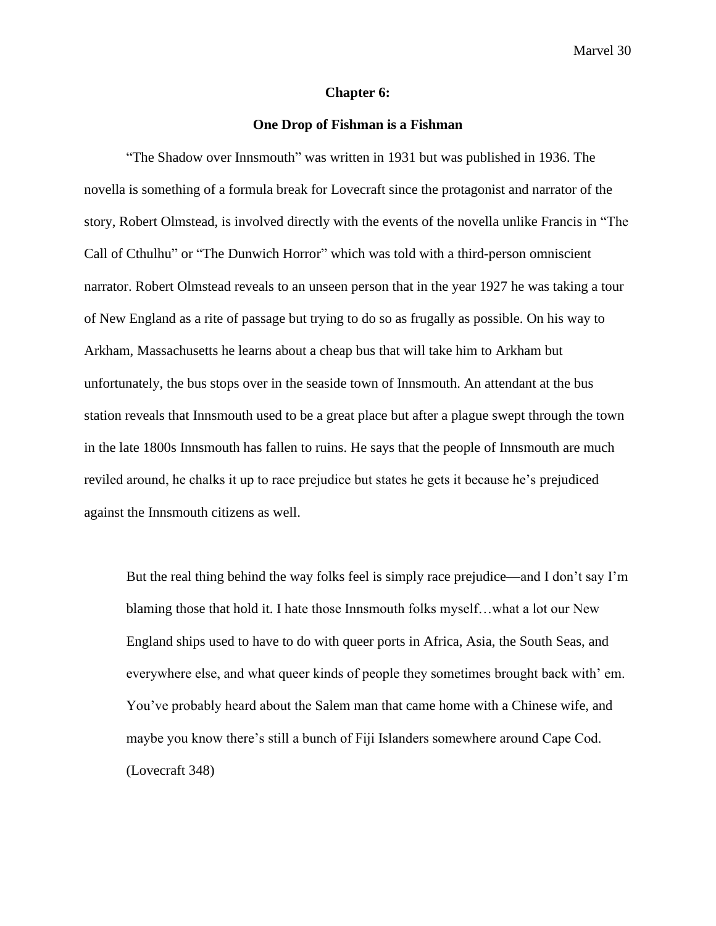#### **Chapter 6:**

#### **One Drop of Fishman is a Fishman**

"The Shadow over Innsmouth" was written in 1931 but was published in 1936. The novella is something of a formula break for Lovecraft since the protagonist and narrator of the story, Robert Olmstead, is involved directly with the events of the novella unlike Francis in "The Call of Cthulhu" or "The Dunwich Horror" which was told with a third-person omniscient narrator. Robert Olmstead reveals to an unseen person that in the year 1927 he was taking a tour of New England as a rite of passage but trying to do so as frugally as possible. On his way to Arkham, Massachusetts he learns about a cheap bus that will take him to Arkham but unfortunately, the bus stops over in the seaside town of Innsmouth. An attendant at the bus station reveals that Innsmouth used to be a great place but after a plague swept through the town in the late 1800s Innsmouth has fallen to ruins. He says that the people of Innsmouth are much reviled around, he chalks it up to race prejudice but states he gets it because he's prejudiced against the Innsmouth citizens as well.

But the real thing behind the way folks feel is simply race prejudice—and I don't say I'm blaming those that hold it. I hate those Innsmouth folks myself…what a lot our New England ships used to have to do with queer ports in Africa, Asia, the South Seas, and everywhere else, and what queer kinds of people they sometimes brought back with' em. You've probably heard about the Salem man that came home with a Chinese wife, and maybe you know there's still a bunch of Fiji Islanders somewhere around Cape Cod. (Lovecraft 348)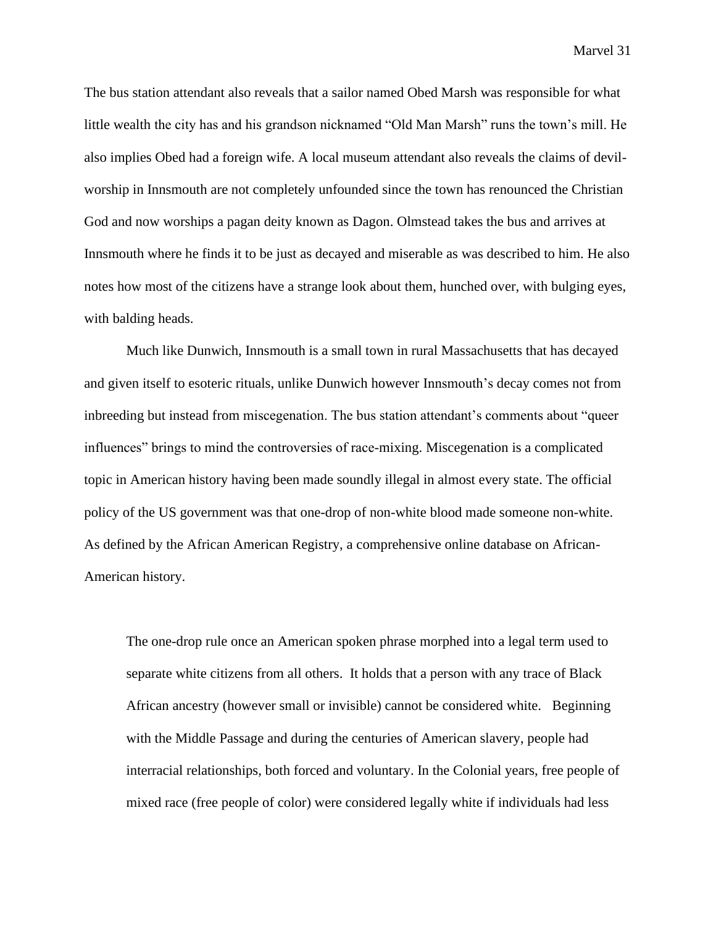The bus station attendant also reveals that a sailor named Obed Marsh was responsible for what little wealth the city has and his grandson nicknamed "Old Man Marsh" runs the town's mill. He also implies Obed had a foreign wife. A local museum attendant also reveals the claims of devilworship in Innsmouth are not completely unfounded since the town has renounced the Christian God and now worships a pagan deity known as Dagon. Olmstead takes the bus and arrives at Innsmouth where he finds it to be just as decayed and miserable as was described to him. He also notes how most of the citizens have a strange look about them, hunched over, with bulging eyes, with balding heads.

Much like Dunwich, Innsmouth is a small town in rural Massachusetts that has decayed and given itself to esoteric rituals, unlike Dunwich however Innsmouth's decay comes not from inbreeding but instead from miscegenation. The bus station attendant's comments about "queer influences" brings to mind the controversies of race-mixing. Miscegenation is a complicated topic in American history having been made soundly illegal in almost every state. The official policy of the US government was that one-drop of non-white blood made someone non-white. As defined by the African American Registry, a comprehensive online database on African-American history.

The one-drop rule once an American spoken phrase morphed into a legal term used to separate white citizens from all others. It holds that a person with any trace of Black African ancestry (however small or invisible) cannot be considered white. Beginning with the [Middle Passage](https://aaregistry.org/story/the-middle-passage-a-story/) and during the centuries of American slavery, people had interracial relationships, both forced and voluntary. In the Colonial years, free people of mixed race (free people of color) were considered legally white if individuals had less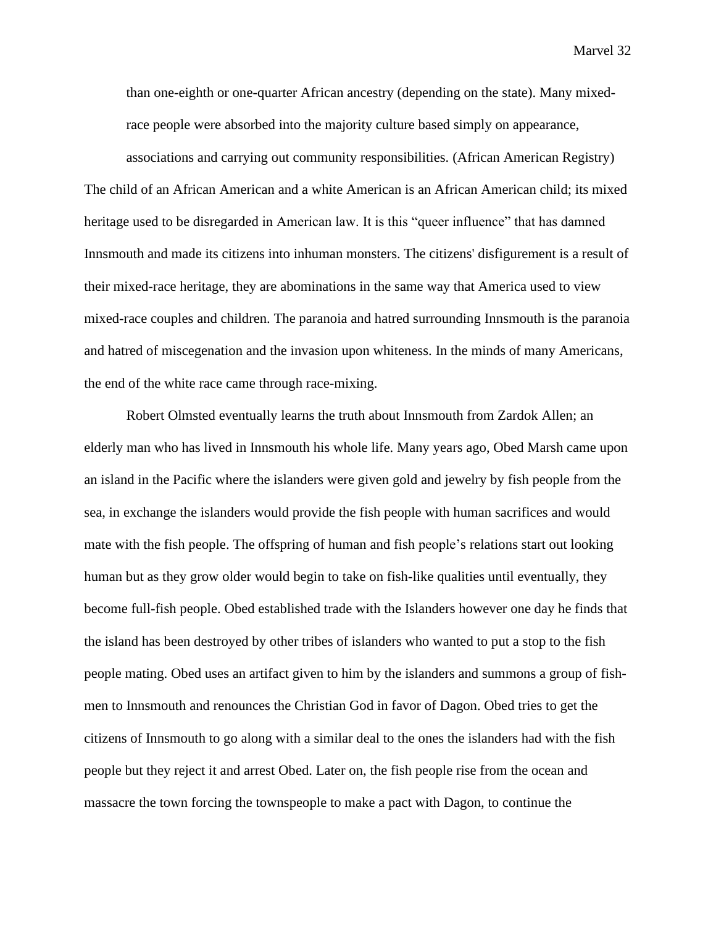than one-eighth or one-quarter African ancestry (depending on the state). Many mixedrace people were absorbed into the majority culture based simply on appearance,

associations and carrying out community responsibilities. (African American Registry) The child of an African American and a white American is an African American child; its mixed heritage used to be disregarded in American law. It is this "queer influence" that has damned Innsmouth and made its citizens into inhuman monsters. The citizens' disfigurement is a result of their mixed-race heritage, they are abominations in the same way that America used to view mixed-race couples and children. The paranoia and hatred surrounding Innsmouth is the paranoia and hatred of miscegenation and the invasion upon whiteness. In the minds of many Americans, the end of the white race came through race-mixing.

Robert Olmsted eventually learns the truth about Innsmouth from Zardok Allen; an elderly man who has lived in Innsmouth his whole life. Many years ago, Obed Marsh came upon an island in the Pacific where the islanders were given gold and jewelry by fish people from the sea, in exchange the islanders would provide the fish people with human sacrifices and would mate with the fish people. The offspring of human and fish people's relations start out looking human but as they grow older would begin to take on fish-like qualities until eventually, they become full-fish people. Obed established trade with the Islanders however one day he finds that the island has been destroyed by other tribes of islanders who wanted to put a stop to the fish people mating. Obed uses an artifact given to him by the islanders and summons a group of fishmen to Innsmouth and renounces the Christian God in favor of Dagon. Obed tries to get the citizens of Innsmouth to go along with a similar deal to the ones the islanders had with the fish people but they reject it and arrest Obed. Later on, the fish people rise from the ocean and massacre the town forcing the townspeople to make a pact with Dagon, to continue the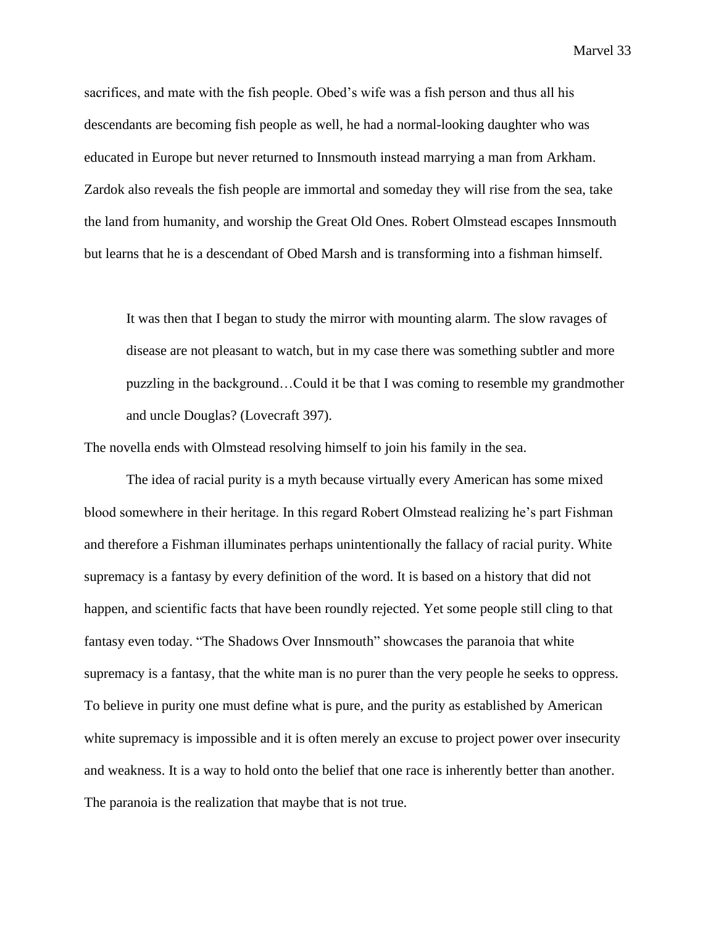sacrifices, and mate with the fish people. Obed's wife was a fish person and thus all his descendants are becoming fish people as well, he had a normal-looking daughter who was educated in Europe but never returned to Innsmouth instead marrying a man from Arkham. Zardok also reveals the fish people are immortal and someday they will rise from the sea, take the land from humanity, and worship the Great Old Ones. Robert Olmstead escapes Innsmouth but learns that he is a descendant of Obed Marsh and is transforming into a fishman himself.

It was then that I began to study the mirror with mounting alarm. The slow ravages of disease are not pleasant to watch, but in my case there was something subtler and more puzzling in the background…Could it be that I was coming to resemble my grandmother and uncle Douglas? (Lovecraft 397).

The novella ends with Olmstead resolving himself to join his family in the sea.

The idea of racial purity is a myth because virtually every American has some mixed blood somewhere in their heritage. In this regard Robert Olmstead realizing he's part Fishman and therefore a Fishman illuminates perhaps unintentionally the fallacy of racial purity. White supremacy is a fantasy by every definition of the word. It is based on a history that did not happen, and scientific facts that have been roundly rejected. Yet some people still cling to that fantasy even today. "The Shadows Over Innsmouth" showcases the paranoia that white supremacy is a fantasy, that the white man is no purer than the very people he seeks to oppress. To believe in purity one must define what is pure, and the purity as established by American white supremacy is impossible and it is often merely an excuse to project power over insecurity and weakness. It is a way to hold onto the belief that one race is inherently better than another. The paranoia is the realization that maybe that is not true.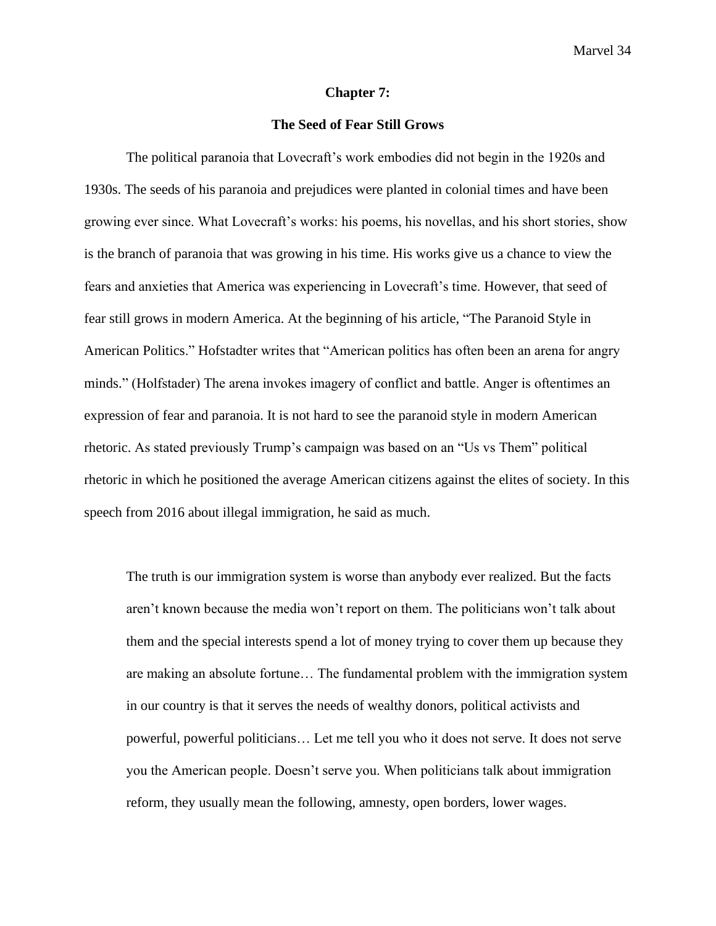#### **Chapter 7:**

# **The Seed of Fear Still Grows**

The political paranoia that Lovecraft's work embodies did not begin in the 1920s and 1930s. The seeds of his paranoia and prejudices were planted in colonial times and have been growing ever since. What Lovecraft's works: his poems, his novellas, and his short stories, show is the branch of paranoia that was growing in his time. His works give us a chance to view the fears and anxieties that America was experiencing in Lovecraft's time. However, that seed of fear still grows in modern America. At the beginning of his article, "The Paranoid Style in American Politics." Hofstadter writes that "American politics has often been an arena for angry minds." (Holfstader) The arena invokes imagery of conflict and battle. Anger is oftentimes an expression of fear and paranoia. It is not hard to see the paranoid style in modern American rhetoric. As stated previously Trump's campaign was based on an "Us vs Them" political rhetoric in which he positioned the average American citizens against the elites of society. In this speech from 2016 about illegal immigration, he said as much.

The truth is our immigration system is worse than anybody ever realized. But the facts aren't known because the media won't report on them. The politicians won't talk about them and the special interests spend a lot of money trying to cover them up because they are making an absolute fortune… The fundamental problem with the immigration system in our country is that it serves the needs of wealthy donors, political activists and powerful, powerful politicians… Let me tell you who it does not serve. It does not serve you the American people. Doesn't serve you. When politicians talk about immigration reform, they usually mean the following, amnesty, open borders, lower wages.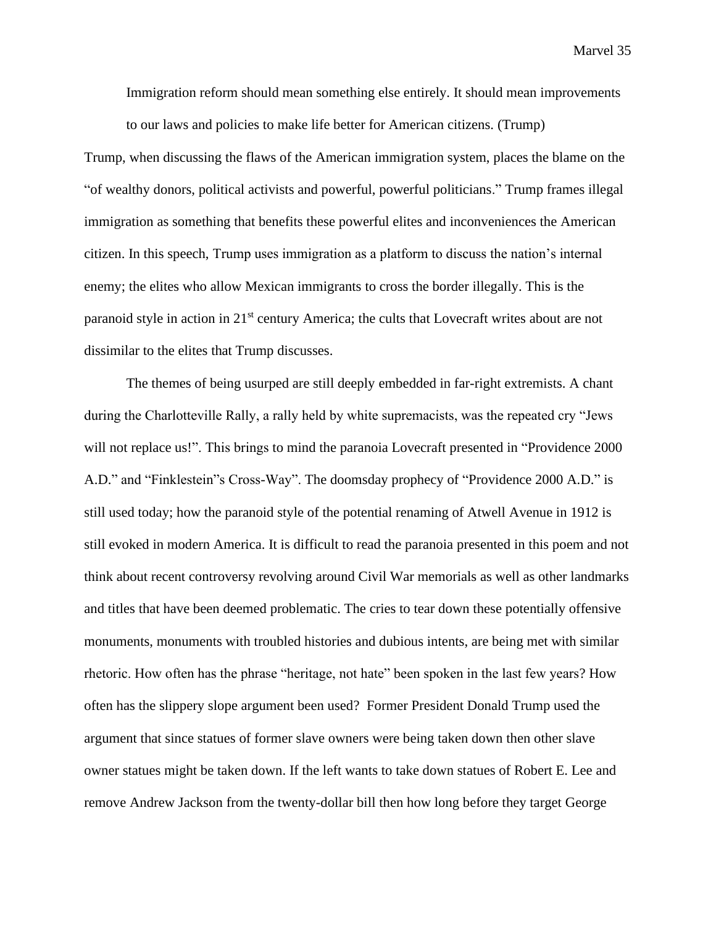Immigration reform should mean something else entirely. It should mean improvements to our laws and policies to make life better for American citizens. (Trump)

Trump, when discussing the flaws of the American immigration system, places the blame on the "of wealthy donors, political activists and powerful, powerful politicians." Trump frames illegal immigration as something that benefits these powerful elites and inconveniences the American citizen. In this speech, Trump uses immigration as a platform to discuss the nation's internal enemy; the elites who allow Mexican immigrants to cross the border illegally. This is the paranoid style in action in 21<sup>st</sup> century America; the cults that Lovecraft writes about are not dissimilar to the elites that Trump discusses.

The themes of being usurped are still deeply embedded in far-right extremists. A chant during the Charlotteville Rally, a rally held by white supremacists, was the repeated cry "Jews will not replace us!". This brings to mind the paranoia Lovecraft presented in "Providence 2000" A.D." and "Finklestein"s Cross-Way". The doomsday prophecy of "Providence 2000 A.D." is still used today; how the paranoid style of the potential renaming of Atwell Avenue in 1912 is still evoked in modern America. It is difficult to read the paranoia presented in this poem and not think about recent controversy revolving around Civil War memorials as well as other landmarks and titles that have been deemed problematic. The cries to tear down these potentially offensive monuments, monuments with troubled histories and dubious intents, are being met with similar rhetoric. How often has the phrase "heritage, not hate" been spoken in the last few years? How often has the slippery slope argument been used? Former President Donald Trump used the argument that since statues of former slave owners were being taken down then other slave owner statues might be taken down. If the left wants to take down statues of Robert E. Lee and remove Andrew Jackson from the twenty-dollar bill then how long before they target George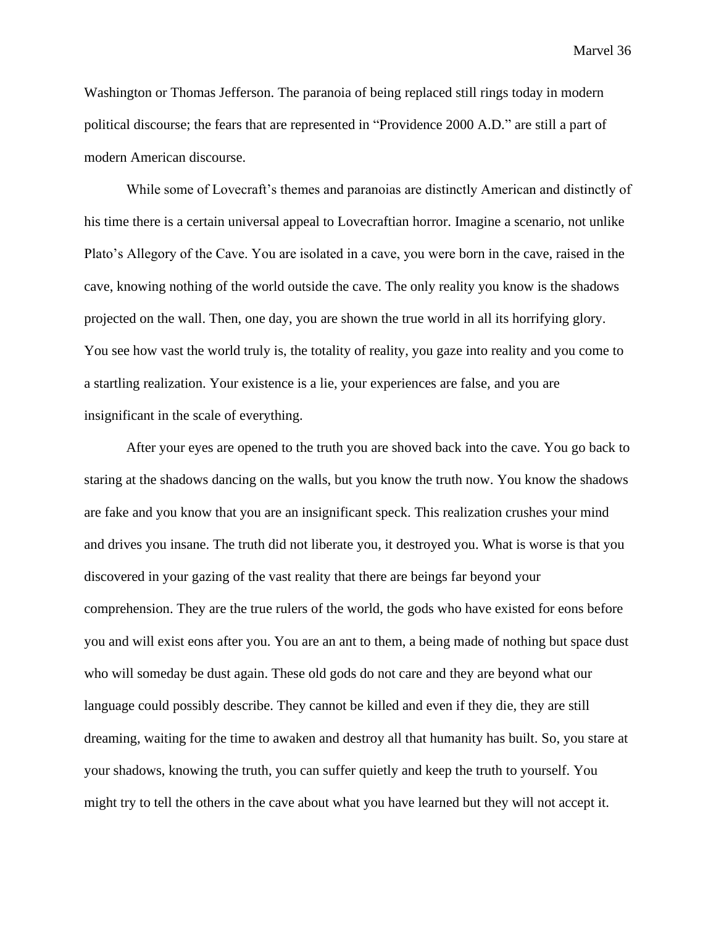Washington or Thomas Jefferson. The paranoia of being replaced still rings today in modern political discourse; the fears that are represented in "Providence 2000 A.D." are still a part of modern American discourse.

While some of Lovecraft's themes and paranoias are distinctly American and distinctly of his time there is a certain universal appeal to Lovecraftian horror. Imagine a scenario, not unlike Plato's Allegory of the Cave. You are isolated in a cave, you were born in the cave, raised in the cave, knowing nothing of the world outside the cave. The only reality you know is the shadows projected on the wall. Then, one day, you are shown the true world in all its horrifying glory. You see how vast the world truly is, the totality of reality, you gaze into reality and you come to a startling realization. Your existence is a lie, your experiences are false, and you are insignificant in the scale of everything.

After your eyes are opened to the truth you are shoved back into the cave. You go back to staring at the shadows dancing on the walls, but you know the truth now. You know the shadows are fake and you know that you are an insignificant speck. This realization crushes your mind and drives you insane. The truth did not liberate you, it destroyed you. What is worse is that you discovered in your gazing of the vast reality that there are beings far beyond your comprehension. They are the true rulers of the world, the gods who have existed for eons before you and will exist eons after you. You are an ant to them, a being made of nothing but space dust who will someday be dust again. These old gods do not care and they are beyond what our language could possibly describe. They cannot be killed and even if they die, they are still dreaming, waiting for the time to awaken and destroy all that humanity has built. So, you stare at your shadows, knowing the truth, you can suffer quietly and keep the truth to yourself. You might try to tell the others in the cave about what you have learned but they will not accept it.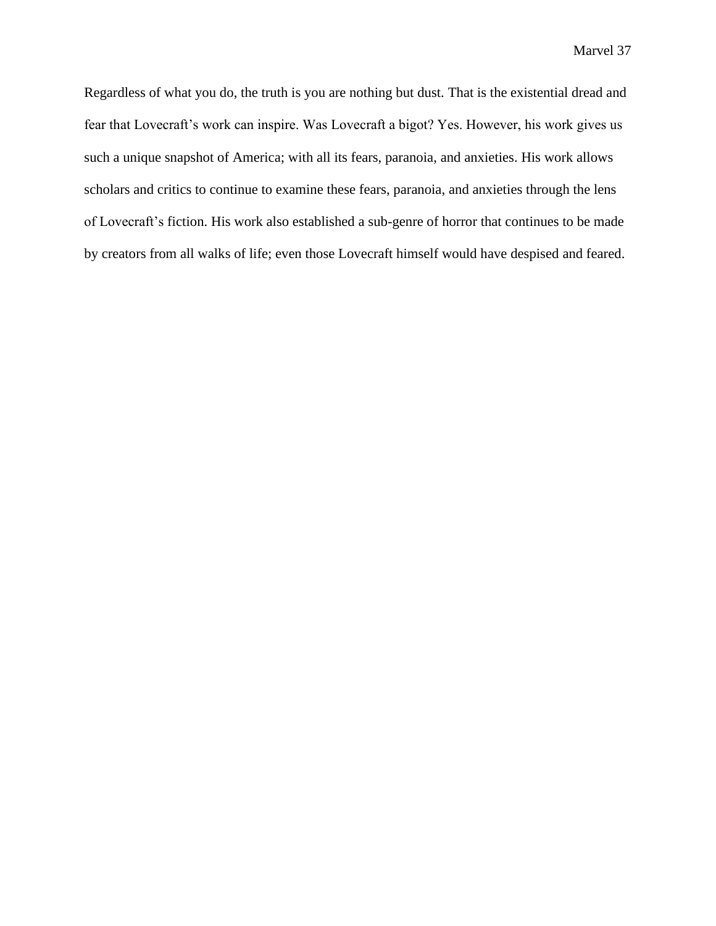Regardless of what you do, the truth is you are nothing but dust. That is the existential dread and fear that Lovecraft's work can inspire. Was Lovecraft a bigot? Yes. However, his work gives us such a unique snapshot of America; with all its fears, paranoia, and anxieties. His work allows scholars and critics to continue to examine these fears, paranoia, and anxieties through the lens of Lovecraft's fiction. His work also established a sub-genre of horror that continues to be made by creators from all walks of life; even those Lovecraft himself would have despised and feared.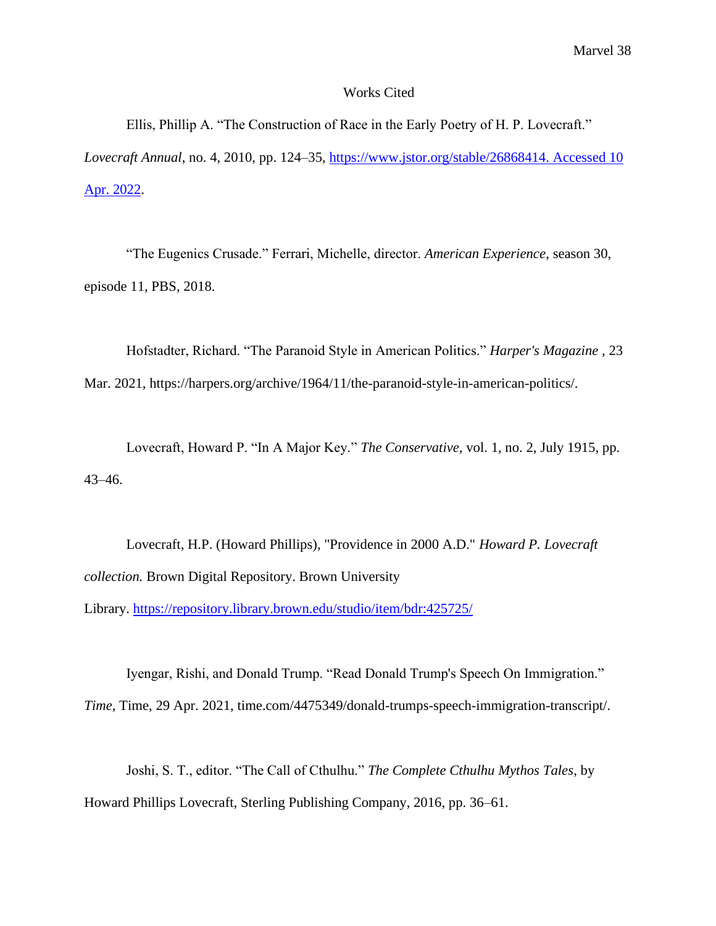# Works Cited

Ellis, Phillip A. "The Construction of Race in the Early Poetry of H. P. Lovecraft." *Lovecraft Annual*, no. 4, 2010, pp. 124–35, [https://www.jstor.org/stable/26868414. Accessed 10](https://www.jstor.org/stable/26868414.%20Accessed%2010%20Apr.%202022)  [Apr. 2022.](https://www.jstor.org/stable/26868414.%20Accessed%2010%20Apr.%202022)

"The Eugenics Crusade." Ferrari, Michelle, director. *American Experience*, season 30, episode 11, PBS, 2018.

Hofstadter, Richard. "The Paranoid Style in American Politics." *Harper's Magazine* , 23 Mar. 2021, https://harpers.org/archive/1964/11/the-paranoid-style-in-american-politics/.

Lovecraft, Howard P. "In A Major Key." *The Conservative*, vol. 1, no. 2, July 1915, pp. 43–46.

Lovecraft, H.P. (Howard Phillips), "Providence in 2000 A.D." *Howard P. Lovecraft collection.* Brown Digital Repository. Brown University Library. <https://repository.library.brown.edu/studio/item/bdr:425725/>

Iyengar, Rishi, and Donald Trump. "Read Donald Trump's Speech On Immigration." *Time*, Time, 29 Apr. 2021, time.com/4475349/donald-trumps-speech-immigration-transcript/.

Joshi, S. T., editor. "The Call of Cthulhu." *The Complete Cthulhu Mythos Tales*, by Howard Phillips Lovecraft, Sterling Publishing Company, 2016, pp. 36–61.